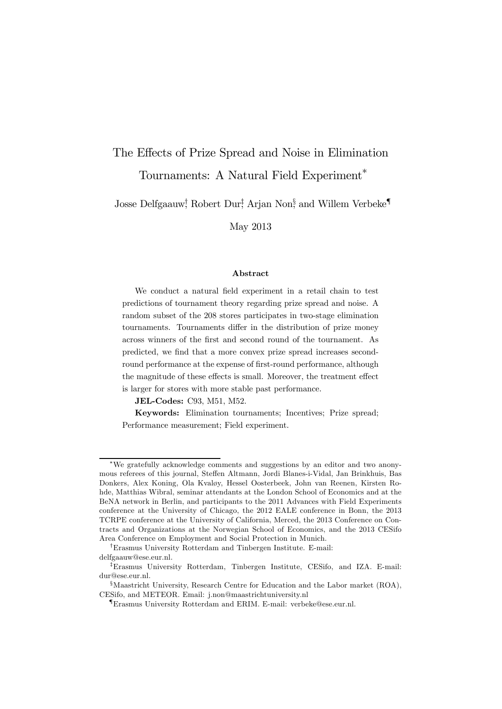# The Effects of Prize Spread and Noise in Elimination Tournaments: A Natural Field Experiment∗

Josse Delfgaauw† , Robert Dur‡ , Arjan Non§ , and Willem Verbeke¶

May 2013

#### Abstract

We conduct a natural field experiment in a retail chain to test predictions of tournament theory regarding prize spread and noise. A random subset of the 208 stores participates in two-stage elimination tournaments. Tournaments differ in the distribution of prize money across winners of the first and second round of the tournament. As predicted, we find that a more convex prize spread increases secondround performance at the expense of first-round performance, although the magnitude of these effects is small. Moreover, the treatment effect is larger for stores with more stable past performance.

JEL-Codes: C93, M51, M52.

Keywords: Elimination tournaments; Incentives; Prize spread; Performance measurement; Field experiment.

<sup>∗</sup>We gratefully acknowledge comments and suggestions by an editor and two anonymous referees of this journal, Steffen Altmann, Jordi Blanes-i-Vidal, Jan Brinkhuis, Bas Donkers, Alex Koning, Ola Kvaløy, Hessel Oosterbeek, John van Reenen, Kirsten Rohde, Matthias Wibral, seminar attendants at the London School of Economics and at the BeNA network in Berlin, and participants to the 2011 Advances with Field Experiments conference at the University of Chicago, the 2012 EALE conference in Bonn, the 2013 TCRPE conference at the University of California, Merced, the 2013 Conference on Contracts and Organizations at the Norwegian School of Economics, and the 2013 CESifo Area Conference on Employment and Social Protection in Munich.

<sup>†</sup>Erasmus University Rotterdam and Tinbergen Institute. E-mail: delfgaauw@ese.eur.nl.

<sup>‡</sup>Erasmus University Rotterdam, Tinbergen Institute, CESifo, and IZA. E-mail: dur@ese.eur.nl.

<sup>§</sup>Maastricht University, Research Centre for Education and the Labor market (ROA), CESifo, and METEOR. Email: j.non@maastrichtuniversity.nl

<sup>¶</sup>Erasmus University Rotterdam and ERIM. E-mail: verbeke@ese.eur.nl.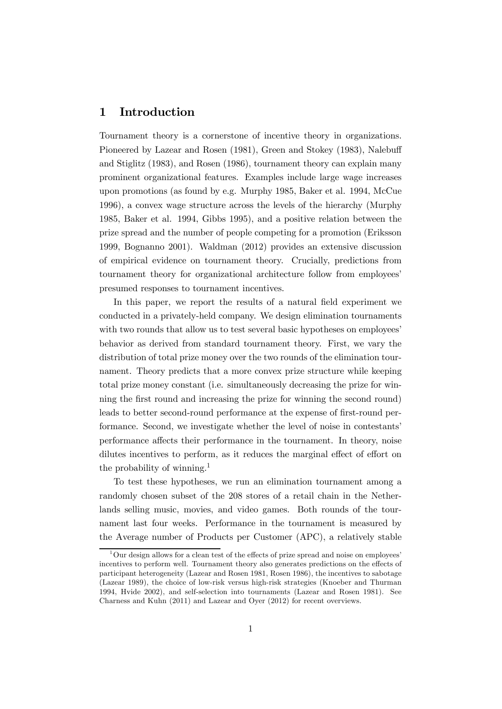## 1 Introduction

Tournament theory is a cornerstone of incentive theory in organizations. Pioneered by Lazear and Rosen (1981), Green and Stokey (1983), Nalebuff and Stiglitz (1983), and Rosen (1986), tournament theory can explain many prominent organizational features. Examples include large wage increases upon promotions (as found by e.g. Murphy 1985, Baker et al. 1994, McCue 1996), a convex wage structure across the levels of the hierarchy (Murphy 1985, Baker et al. 1994, Gibbs 1995), and a positive relation between the prize spread and the number of people competing for a promotion (Eriksson 1999, Bognanno 2001). Waldman (2012) provides an extensive discussion of empirical evidence on tournament theory. Crucially, predictions from tournament theory for organizational architecture follow from employees' presumed responses to tournament incentives.

In this paper, we report the results of a natural field experiment we conducted in a privately-held company. We design elimination tournaments with two rounds that allow us to test several basic hypotheses on employees' behavior as derived from standard tournament theory. First, we vary the distribution of total prize money over the two rounds of the elimination tournament. Theory predicts that a more convex prize structure while keeping total prize money constant (i.e. simultaneously decreasing the prize for winning the first round and increasing the prize for winning the second round) leads to better second-round performance at the expense of first-round performance. Second, we investigate whether the level of noise in contestants' performance affects their performance in the tournament. In theory, noise dilutes incentives to perform, as it reduces the marginal effect of effort on the probability of winning.1

To test these hypotheses, we run an elimination tournament among a randomly chosen subset of the 208 stores of a retail chain in the Netherlands selling music, movies, and video games. Both rounds of the tournament last four weeks. Performance in the tournament is measured by the Average number of Products per Customer (APC), a relatively stable

 $1<sup>1</sup>$  Our design allows for a clean test of the effects of prize spread and noise on employees' incentives to perform well. Tournament theory also generates predictions on the effects of participant heterogeneity (Lazear and Rosen 1981, Rosen 1986), the incentives to sabotage (Lazear 1989), the choice of low-risk versus high-risk strategies (Knoeber and Thurman 1994, Hvide 2002), and self-selection into tournaments (Lazear and Rosen 1981). See Charness and Kuhn (2011) and Lazear and Oyer (2012) for recent overviews.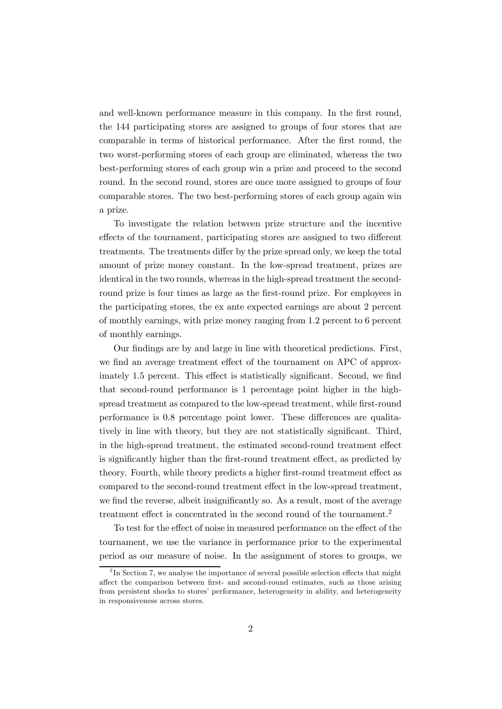and well-known performance measure in this company. In the first round, the 144 participating stores are assigned to groups of four stores that are comparable in terms of historical performance. After the first round, the two worst-performing stores of each group are eliminated, whereas the two best-performing stores of each group win a prize and proceed to the second round. In the second round, stores are once more assigned to groups of four comparable stores. The two best-performing stores of each group again win a prize.

To investigate the relation between prize structure and the incentive effects of the tournament, participating stores are assigned to two different treatments. The treatments differ by the prize spread only, we keep the total amount of prize money constant. In the low-spread treatment, prizes are identical in the two rounds, whereas in the high-spread treatment the secondround prize is four times as large as the first-round prize. For employees in the participating stores, the ex ante expected earnings are about 2 percent of monthly earnings, with prize money ranging from 1.2 percent to 6 percent of monthly earnings.

Our findings are by and large in line with theoretical predictions. First, we find an average treatment effect of the tournament on APC of approximately 1.5 percent. This effect is statistically significant. Second, we find that second-round performance is 1 percentage point higher in the highspread treatment as compared to the low-spread treatment, while first-round performance is 0.8 percentage point lower. These differences are qualitatively in line with theory, but they are not statistically significant. Third, in the high-spread treatment, the estimated second-round treatment effect is significantly higher than the first-round treatment effect, as predicted by theory. Fourth, while theory predicts a higher first-round treatment effect as compared to the second-round treatment effect in the low-spread treatment, we find the reverse, albeit insignificantly so. As a result, most of the average treatment effect is concentrated in the second round of the tournament.<sup>2</sup>

To test for the effect of noise in measured performance on the effect of the tournament, we use the variance in performance prior to the experimental period as our measure of noise. In the assignment of stores to groups, we

 ${}^{2}$ In Section 7, we analyse the importance of several possible selection effects that might affect the comparison between first- and second-round estimates, such as those arising from persistent shocks to stores' performance, heterogeneity in ability, and heterogeneity in responsiveness across stores.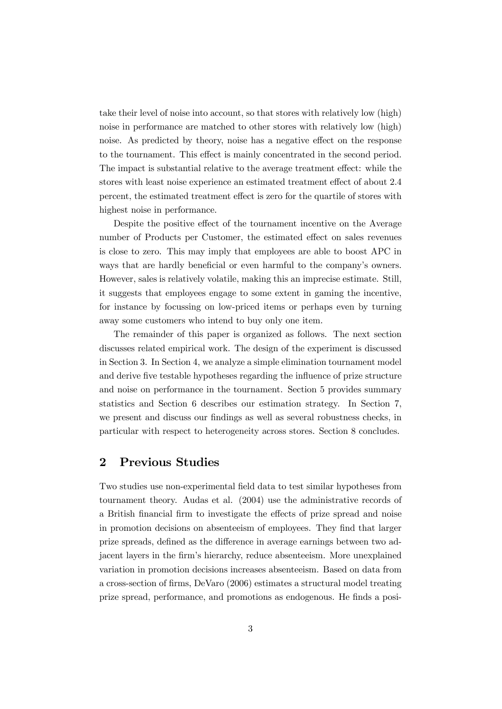take their level of noise into account, so that stores with relatively low (high) noise in performance are matched to other stores with relatively low (high) noise. As predicted by theory, noise has a negative effect on the response to the tournament. This effect is mainly concentrated in the second period. The impact is substantial relative to the average treatment effect: while the stores with least noise experience an estimated treatment effect of about 2.4 percent, the estimated treatment effect is zero for the quartile of stores with highest noise in performance.

Despite the positive effect of the tournament incentive on the Average number of Products per Customer, the estimated effect on sales revenues is close to zero. This may imply that employees are able to boost APC in ways that are hardly beneficial or even harmful to the company's owners. However, sales is relatively volatile, making this an imprecise estimate. Still, it suggests that employees engage to some extent in gaming the incentive, for instance by focussing on low-priced items or perhaps even by turning away some customers who intend to buy only one item.

The remainder of this paper is organized as follows. The next section discusses related empirical work. The design of the experiment is discussed in Section 3. In Section 4, we analyze a simple elimination tournament model and derive five testable hypotheses regarding the influence of prize structure and noise on performance in the tournament. Section 5 provides summary statistics and Section 6 describes our estimation strategy. In Section 7, we present and discuss our findings as well as several robustness checks, in particular with respect to heterogeneity across stores. Section 8 concludes.

## 2 Previous Studies

Two studies use non-experimental field data to test similar hypotheses from tournament theory. Audas et al. (2004) use the administrative records of a British financial firm to investigate the effects of prize spread and noise in promotion decisions on absenteeism of employees. They find that larger prize spreads, defined as the difference in average earnings between two adjacent layers in the firm's hierarchy, reduce absenteeism. More unexplained variation in promotion decisions increases absenteeism. Based on data from a cross-section of firms, DeVaro (2006) estimates a structural model treating prize spread, performance, and promotions as endogenous. He finds a posi-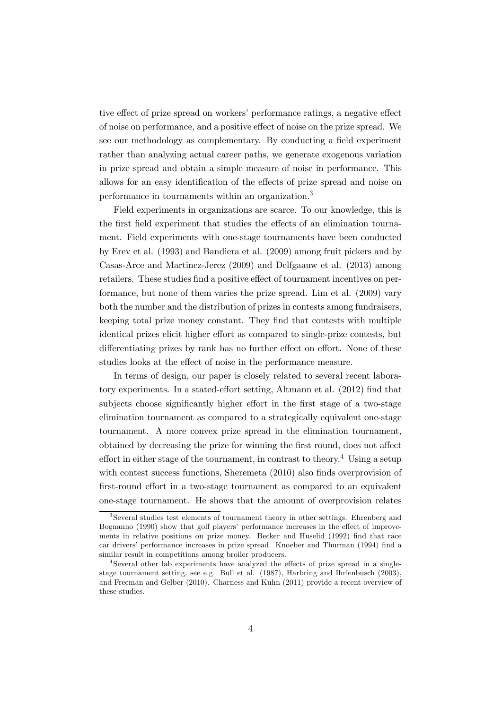tive effect of prize spread on workers' performance ratings, a negative effect of noise on performance, and a positive effect of noise on the prize spread. We see our methodology as complementary. By conducting a field experiment rather than analyzing actual career paths, we generate exogenous variation in prize spread and obtain a simple measure of noise in performance. This allows for an easy identification of the effects of prize spread and noise on performance in tournaments within an organization.3

Field experiments in organizations are scarce. To our knowledge, this is the first field experiment that studies the effects of an elimination tournament. Field experiments with one-stage tournaments have been conducted by Erev et al. (1993) and Bandiera et al. (2009) among fruit pickers and by Casas-Arce and Martinez-Jerez (2009) and Delfgaauw et al. (2013) among retailers. These studies find a positive effect of tournament incentives on performance, but none of them varies the prize spread. Lim et al. (2009) vary both the number and the distribution of prizes in contests among fundraisers, keeping total prize money constant. They find that contests with multiple identical prizes elicit higher effort as compared to single-prize contests, but differentiating prizes by rank has no further effect on effort. None of these studies looks at the effect of noise in the performance measure.

In terms of design, our paper is closely related to several recent laboratory experiments. In a stated-effort setting, Altmann et al. (2012) find that subjects choose significantly higher effort in the first stage of a two-stage elimination tournament as compared to a strategically equivalent one-stage tournament. A more convex prize spread in the elimination tournament, obtained by decreasing the prize for winning the first round, does not affect effort in either stage of the tournament, in contrast to theory.<sup>4</sup> Using a setup with contest success functions, Sheremeta  $(2010)$  also finds overprovision of first-round effort in a two-stage tournament as compared to an equivalent one-stage tournament. He shows that the amount of overprovision relates

<sup>&</sup>lt;sup>3</sup>Several studies test elements of tournament theory in other settings. Ehrenberg and Bognanno (1990) show that golf players' performance increases in the effect of improvements in relative positions on prize money. Becker and Huselid (1992) find that race car drivers' performance increases in prize spread. Knoeber and Thurman (1994) find a similar result in competitions among broiler producers.

<sup>4</sup>Several other lab experiments have analyzed the effects of prize spread in a singlestage tournament setting, see e.g. Bull et al. (1987), Harbring and Ihrlenbusch (2003), and Freeman and Gelber (2010). Charness and Kuhn (2011) provide a recent overview of these studies.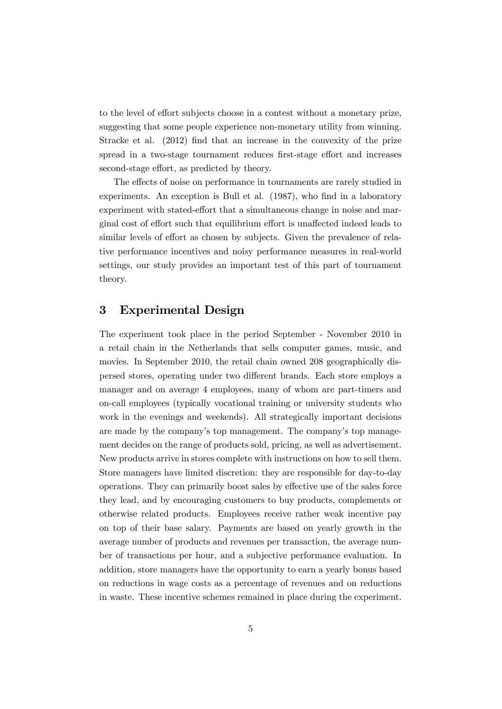to the level of effort subjects choose in a contest without a monetary prize, suggesting that some people experience non-monetary utility from winning. Stracke et al. (2012) find that an increase in the convexity of the prize spread in a two-stage tournament reduces first-stage effort and increases second-stage effort, as predicted by theory.

The effects of noise on performance in tournaments are rarely studied in experiments. An exception is Bull et al. (1987), who find in a laboratory experiment with stated-effort that a simultaneous change in noise and marginal cost of effort such that equilibrium effort is unaffected indeed leads to similar levels of effort as chosen by subjects. Given the prevalence of relative performance incentives and noisy performance measures in real-world settings, our study provides an important test of this part of tournament theory.

# 3 Experimental Design

The experiment took place in the period September - November 2010 in a retail chain in the Netherlands that sells computer games, music, and movies. In September 2010, the retail chain owned 208 geographically dispersed stores, operating under two different brands. Each store employs a manager and on average 4 employees, many of whom are part-timers and on-call employees (typically vocational training or university students who work in the evenings and weekends). All strategically important decisions are made by the company's top management. The company's top management decides on the range of products sold, pricing, as well as advertisement. New products arrive in stores complete with instructions on how to sell them. Store managers have limited discretion: they are responsible for day-to-day operations. They can primarily boost sales by effective use of the sales force they lead, and by encouraging customers to buy products, complements or otherwise related products. Employees receive rather weak incentive pay on top of their base salary. Payments are based on yearly growth in the average number of products and revenues per transaction, the average number of transactions per hour, and a subjective performance evaluation. In addition, store managers have the opportunity to earn a yearly bonus based on reductions in wage costs as a percentage of revenues and on reductions in waste. These incentive schemes remained in place during the experiment.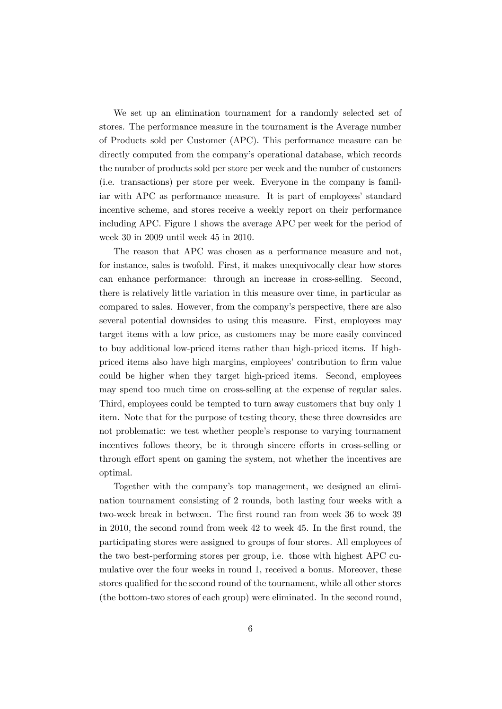We set up an elimination tournament for a randomly selected set of stores. The performance measure in the tournament is the Average number of Products sold per Customer (APC). This performance measure can be directly computed from the company's operational database, which records the number of products sold per store per week and the number of customers (i.e. transactions) per store per week. Everyone in the company is familiar with APC as performance measure. It is part of employees' standard incentive scheme, and stores receive a weekly report on their performance including APC. Figure 1 shows the average APC per week for the period of week 30 in 2009 until week 45 in 2010.

The reason that APC was chosen as a performance measure and not, for instance, sales is twofold. First, it makes unequivocally clear how stores can enhance performance: through an increase in cross-selling. Second, there is relatively little variation in this measure over time, in particular as compared to sales. However, from the company's perspective, there are also several potential downsides to using this measure. First, employees may target items with a low price, as customers may be more easily convinced to buy additional low-priced items rather than high-priced items. If highpriced items also have high margins, employees' contribution to firm value could be higher when they target high-priced items. Second, employees may spend too much time on cross-selling at the expense of regular sales. Third, employees could be tempted to turn away customers that buy only 1 item. Note that for the purpose of testing theory, these three downsides are not problematic: we test whether people's response to varying tournament incentives follows theory, be it through sincere efforts in cross-selling or through effort spent on gaming the system, not whether the incentives are optimal.

Together with the company's top management, we designed an elimination tournament consisting of 2 rounds, both lasting four weeks with a two-week break in between. The first round ran from week 36 to week 39 in 2010, the second round from week 42 to week 45. In the first round, the participating stores were assigned to groups of four stores. All employees of the two best-performing stores per group, i.e. those with highest APC cumulative over the four weeks in round 1, received a bonus. Moreover, these stores qualified for the second round of the tournament, while all other stores (the bottom-two stores of each group) were eliminated. In the second round,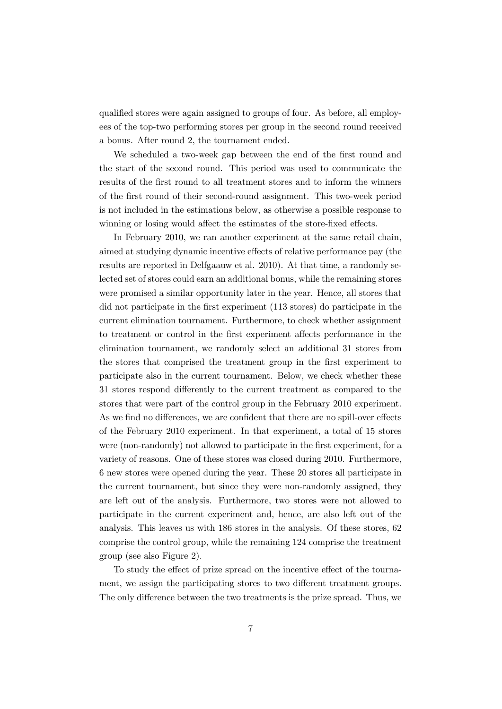qualified stores were again assigned to groups of four. As before, all employees of the top-two performing stores per group in the second round received a bonus. After round 2, the tournament ended.

We scheduled a two-week gap between the end of the first round and the start of the second round. This period was used to communicate the results of the first round to all treatment stores and to inform the winners of the first round of their second-round assignment. This two-week period is not included in the estimations below, as otherwise a possible response to winning or losing would affect the estimates of the store-fixed effects.

In February 2010, we ran another experiment at the same retail chain, aimed at studying dynamic incentive effects of relative performance pay (the results are reported in Delfgaauw et al. 2010). At that time, a randomly selected set of stores could earn an additional bonus, while the remaining stores were promised a similar opportunity later in the year. Hence, all stores that did not participate in the first experiment (113 stores) do participate in the current elimination tournament. Furthermore, to check whether assignment to treatment or control in the first experiment affects performance in the elimination tournament, we randomly select an additional 31 stores from the stores that comprised the treatment group in the first experiment to participate also in the current tournament. Below, we check whether these 31 stores respond differently to the current treatment as compared to the stores that were part of the control group in the February 2010 experiment. As we find no differences, we are confident that there are no spill-over effects of the February 2010 experiment. In that experiment, a total of 15 stores were (non-randomly) not allowed to participate in the first experiment, for a variety of reasons. One of these stores was closed during 2010. Furthermore, 6 new stores were opened during the year. These 20 stores all participate in the current tournament, but since they were non-randomly assigned, they are left out of the analysis. Furthermore, two stores were not allowed to participate in the current experiment and, hence, are also left out of the analysis. This leaves us with 186 stores in the analysis. Of these stores, 62 comprise the control group, while the remaining 124 comprise the treatment group (see also Figure 2).

To study the effect of prize spread on the incentive effect of the tournament, we assign the participating stores to two different treatment groups. The only difference between the two treatments is the prize spread. Thus, we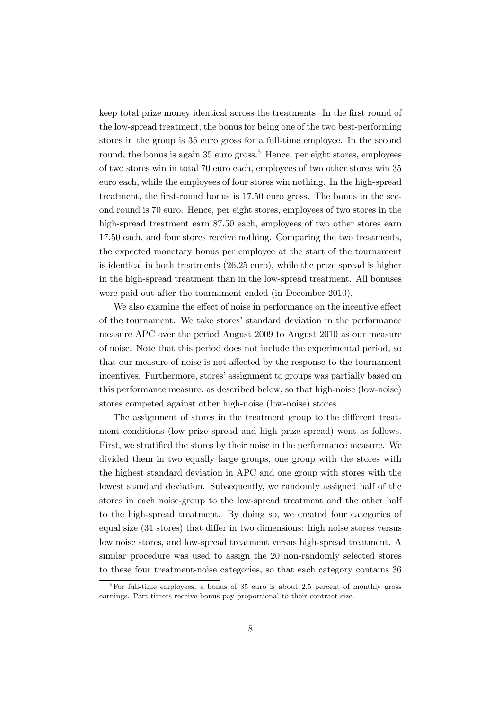keep total prize money identical across the treatments. In the first round of the low-spread treatment, the bonus for being one of the two best-performing stores in the group is 35 euro gross for a full-time employee. In the second round, the bonus is again 35 euro gross.<sup>5</sup> Hence, per eight stores, employees of two stores win in total 70 euro each, employees of two other stores win 35 euro each, while the employees of four stores win nothing. In the high-spread treatment, the first-round bonus is 17.50 euro gross. The bonus in the second round is 70 euro. Hence, per eight stores, employees of two stores in the high-spread treatment earn 87.50 each, employees of two other stores earn 17.50 each, and four stores receive nothing. Comparing the two treatments, the expected monetary bonus per employee at the start of the tournament is identical in both treatments (26.25 euro), while the prize spread is higher in the high-spread treatment than in the low-spread treatment. All bonuses were paid out after the tournament ended (in December 2010).

We also examine the effect of noise in performance on the incentive effect of the tournament. We take stores' standard deviation in the performance measure APC over the period August 2009 to August 2010 as our measure of noise. Note that this period does not include the experimental period, so that our measure of noise is not affected by the response to the tournament incentives. Furthermore, stores' assignment to groups was partially based on this performance measure, as described below, so that high-noise (low-noise) stores competed against other high-noise (low-noise) stores.

The assignment of stores in the treatment group to the different treatment conditions (low prize spread and high prize spread) went as follows. First, we stratified the stores by their noise in the performance measure. We divided them in two equally large groups, one group with the stores with the highest standard deviation in APC and one group with stores with the lowest standard deviation. Subsequently, we randomly assigned half of the stores in each noise-group to the low-spread treatment and the other half to the high-spread treatment. By doing so, we created four categories of equal size (31 stores) that differ in two dimensions: high noise stores versus low noise stores, and low-spread treatment versus high-spread treatment. A similar procedure was used to assign the 20 non-randomly selected stores to these four treatment-noise categories, so that each category contains 36

<sup>&</sup>lt;sup>5</sup>For full-time employees, a bonus of 35 euro is about 2.5 percent of monthly gross earnings. Part-timers receive bonus pay proportional to their contract size.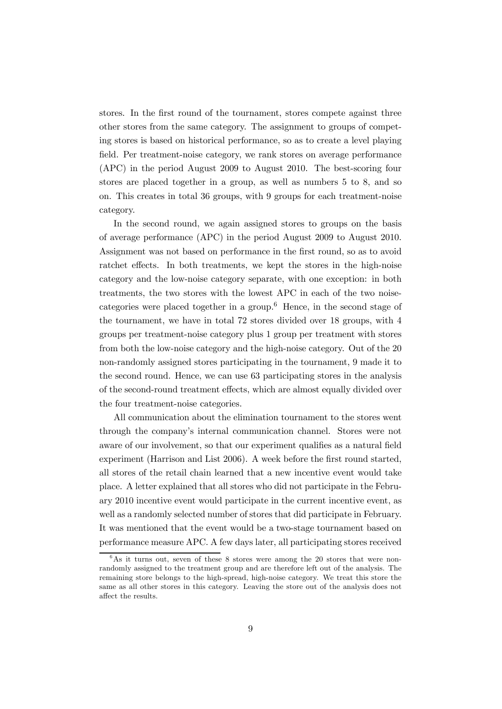stores. In the first round of the tournament, stores compete against three other stores from the same category. The assignment to groups of competing stores is based on historical performance, so as to create a level playing field. Per treatment-noise category, we rank stores on average performance (APC) in the period August 2009 to August 2010. The best-scoring four stores are placed together in a group, as well as numbers 5 to 8, and so on. This creates in total 36 groups, with 9 groups for each treatment-noise category.

In the second round, we again assigned stores to groups on the basis of average performance (APC) in the period August 2009 to August 2010. Assignment was not based on performance in the first round, so as to avoid ratchet effects. In both treatments, we kept the stores in the high-noise category and the low-noise category separate, with one exception: in both treatments, the two stores with the lowest APC in each of the two noisecategories were placed together in a group.<sup> $6$ </sup> Hence, in the second stage of the tournament, we have in total 72 stores divided over 18 groups, with 4 groups per treatment-noise category plus 1 group per treatment with stores from both the low-noise category and the high-noise category. Out of the 20 non-randomly assigned stores participating in the tournament, 9 made it to the second round. Hence, we can use 63 participating stores in the analysis of the second-round treatment effects, which are almost equally divided over the four treatment-noise categories.

All communication about the elimination tournament to the stores went through the company's internal communication channel. Stores were not aware of our involvement, so that our experiment qualifies as a natural field experiment (Harrison and List 2006). A week before the first round started, all stores of the retail chain learned that a new incentive event would take place. A letter explained that all stores who did not participate in the February 2010 incentive event would participate in the current incentive event, as well as a randomly selected number of stores that did participate in February. It was mentioned that the event would be a two-stage tournament based on performance measure APC. A few days later, all participating stores received

 $6$ As it turns out, seven of these 8 stores were among the 20 stores that were nonrandomly assigned to the treatment group and are therefore left out of the analysis. The remaining store belongs to the high-spread, high-noise category. We treat this store the same as all other stores in this category. Leaving the store out of the analysis does not affect the results.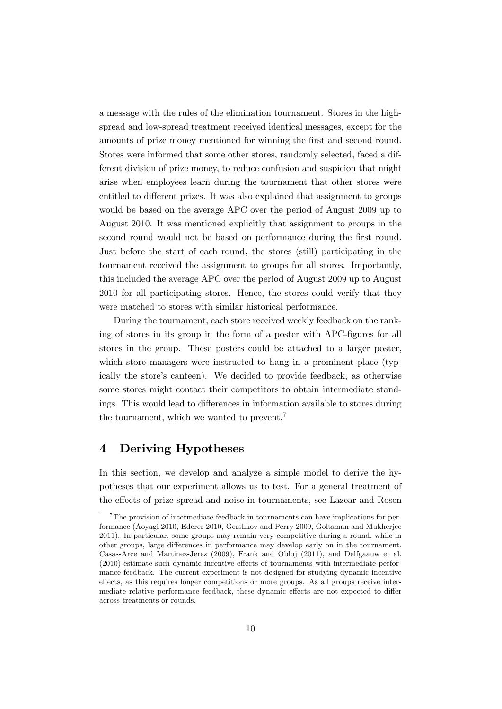a message with the rules of the elimination tournament. Stores in the highspread and low-spread treatment received identical messages, except for the amounts of prize money mentioned for winning the first and second round. Stores were informed that some other stores, randomly selected, faced a different division of prize money, to reduce confusion and suspicion that might arise when employees learn during the tournament that other stores were entitled to different prizes. It was also explained that assignment to groups would be based on the average APC over the period of August 2009 up to August 2010. It was mentioned explicitly that assignment to groups in the second round would not be based on performance during the first round. Just before the start of each round, the stores (still) participating in the tournament received the assignment to groups for all stores. Importantly, this included the average APC over the period of August 2009 up to August 2010 for all participating stores. Hence, the stores could verify that they were matched to stores with similar historical performance.

During the tournament, each store received weekly feedback on the ranking of stores in its group in the form of a poster with APC-figures for all stores in the group. These posters could be attached to a larger poster, which store managers were instructed to hang in a prominent place (typically the store's canteen). We decided to provide feedback, as otherwise some stores might contact their competitors to obtain intermediate standings. This would lead to differences in information available to stores during the tournament, which we wanted to prevent.<sup>7</sup>

# 4 Deriving Hypotheses

In this section, we develop and analyze a simple model to derive the hypotheses that our experiment allows us to test. For a general treatment of the effects of prize spread and noise in tournaments, see Lazear and Rosen

 $7$ The provision of intermediate feedback in tournaments can have implications for performance (Aoyagi 2010, Ederer 2010, Gershkov and Perry 2009, Goltsman and Mukherjee 2011). In particular, some groups may remain very competitive during a round, while in other groups, large differences in performance may develop early on in the tournament. Casas-Arce and Martinez-Jerez (2009), Frank and Obloj (2011), and Delfgaauw et al. (2010) estimate such dynamic incentive effects of tournaments with intermediate performance feedback. The current experiment is not designed for studying dynamic incentive effects, as this requires longer competitions or more groups. As all groups receive intermediate relative performance feedback, these dynamic effects are not expected to differ across treatments or rounds.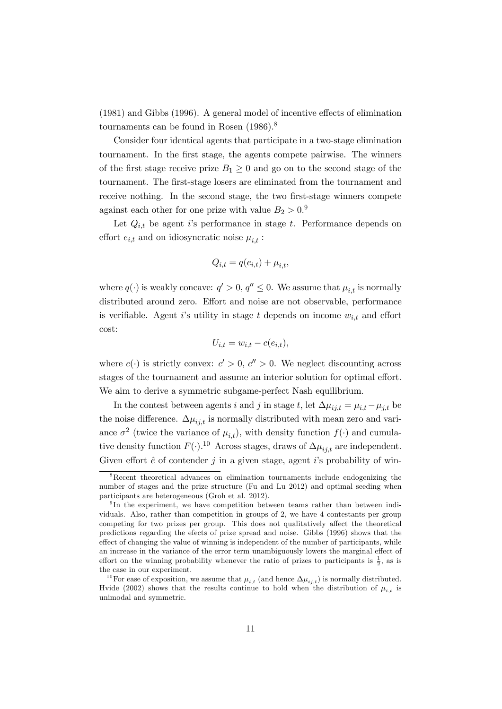(1981) and Gibbs (1996). A general model of incentive effects of elimination tournaments can be found in Rosen (1986).8

Consider four identical agents that participate in a two-stage elimination tournament. In the first stage, the agents compete pairwise. The winners of the first stage receive prize  $B_1 \geq 0$  and go on to the second stage of the tournament. The first-stage losers are eliminated from the tournament and receive nothing. In the second stage, the two first-stage winners compete against each other for one prize with value  $B_2 > 0.9$ 

Let  $Q_{i,t}$  be agent i's performance in stage t. Performance depends on effort  $e_{i,t}$  and on idiosyncratic noise  $\mu_{i,t}$ :

$$
Q_{i,t} = q(e_{i,t}) + \mu_{i,t},
$$

where  $q(\cdot)$  is weakly concave:  $q' > 0$ ,  $q'' \leq 0$ . We assume that  $\mu_{i,t}$  is normally distributed around zero. Effort and noise are not observable, performance is verifiable. Agent i's utility in stage t depends on income  $w_{i,t}$  and effort cost:

$$
U_{i,t} = w_{i,t} - c(e_{i,t}),
$$

where  $c(\cdot)$  is strictly convex:  $c' > 0$ ,  $c'' > 0$ . We neglect discounting across stages of the tournament and assume an interior solution for optimal effort. We aim to derive a symmetric subgame-perfect Nash equilibrium.

In the contest between agents *i* and *j* in stage *t*, let  $\Delta \mu_{ij,t} = \mu_{i,t} - \mu_{j,t}$  be the noise difference.  $\Delta \mu_{ij,t}$  is normally distributed with mean zero and variance  $\sigma^2$  (twice the variance of  $\mu_{i,t}$ ), with density function  $f(\cdot)$  and cumulative density function  $F(\cdot)$ .<sup>10</sup> Across stages, draws of  $\Delta \mu_{ij,t}$  are independent. Given effort  $\hat{e}$  of contender  $j$  in a given stage, agent  $i$ 's probability of win-

<sup>&</sup>lt;sup>8</sup>Recent theoretical advances on elimination tournaments include endogenizing the number of stages and the prize structure (Fu and Lu 2012) and optimal seeding when participants are heterogeneous (Groh et al. 2012).

<sup>&</sup>lt;sup>9</sup>In the experiment, we have competition between teams rather than between individuals. Also, rather than competition in groups of 2, we have 4 contestants per group competing for two prizes per group. This does not qualitatively affect the theoretical predictions regarding the efects of prize spread and noise. Gibbs (1996) shows that the effect of changing the value of winning is independent of the number of participants, while an increase in the variance of the error term unambiguously lowers the marginal effect of effort on the winning probability whenever the ratio of prizes to participants is  $\frac{1}{2}$ , as is the case in our experiment.

<sup>&</sup>lt;sup>10</sup>For ease of exposition, we assume that  $\mu_{i,t}$  (and hence  $\Delta \mu_{i,t}$ ) is normally distributed. Hvide (2002) shows that the results continue to hold when the distribution of  $\mu_{i,t}$  is unimodal and symmetric.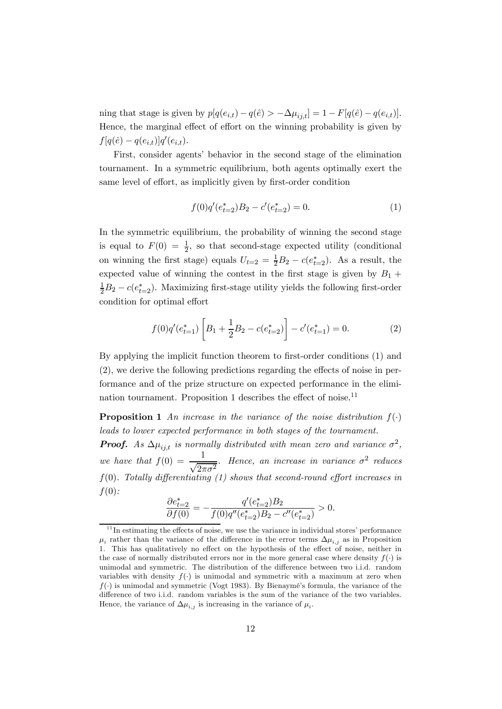ning that stage is given by  $p[q(e_{i,t}) - q(\hat{e}) > -\Delta \mu_{i,t}] = 1 - F[q(\hat{e}) - q(e_{i,t})].$ Hence, the marginal effect of effort on the winning probability is given by  $f[q(\hat{e}) - q(e_{i,t})]q'(e_{i,t}).$ 

First, consider agents' behavior in the second stage of the elimination tournament. In a symmetric equilibrium, both agents optimally exert the same level of effort, as implicitly given by first-order condition

$$
f(0)q'(e_{t=2}^*)B_2 - c'(e_{t=2}^*) = 0.
$$
 (1)

In the symmetric equilibrium, the probability of winning the second stage is equal to  $F(0) = \frac{1}{2}$ , so that second-stage expected utility (conditional on winning the first stage) equals  $U_{t=2} = \frac{1}{2}B_2 - c(e_{t=2}^*)$ . As a result, the expected value of winning the contest in the first stage is given by  $B_1 +$  $\frac{1}{2}B_2 - c(e_{t=2}^*)$ . Maximizing first-stage utility yields the following first-order condition for optimal effort

$$
f(0)q'(e_{t=1}^*)\left[B_1 + \frac{1}{2}B_2 - c(e_{t=2}^*)\right] - c'(e_{t=1}^*) = 0.
$$
 (2)

By applying the implicit function theorem to first-order conditions (1) and (2), we derive the following predictions regarding the effects of noise in performance and of the prize structure on expected performance in the elimination tournament. Proposition 1 describes the effect of noise.<sup>11</sup>

**Proposition 1** An increase in the variance of the noise distribution  $f(.)$ leads to lower expected performance in both stages of the tournament.

**Proof.** As  $\Delta \mu_{ij,t}$  is normally distributed with mean zero and variance  $\sigma^2$ , we have that  $f(0) = \frac{1}{\sqrt{2\pi\sigma^2}}$ . Hence, an increase in variance  $\sigma^2$  reduces  $f(0)$ . Totally differentiating (1) shows that second-round effort increases in  $f(0)$ :

$$
\frac{\partial e_{t=2}^*}{\partial f(0)} = -\frac{q'(e_{t=2}^*)B_2}{f(0)q''(e_{t=2}^*)B_2 - c''(e_{t=2}^*)} > 0.
$$

 $11$  In estimating the effects of noise, we use the variance in individual stores' performance  $\mu_i$  rather than the variance of the difference in the error terms  $\Delta \mu_{i,j}$  as in Proposition 1. This has qualitatively no effect on the hypothesis of the effect of noise, neither in the case of normally distributed errors nor in the more general case where density  $f(.)$  is unimodal and symmetric. The distribution of the difference between two i.i.d. random variables with density  $f(.)$  is unimodal and symmetric with a maximum at zero when  $f(\cdot)$  is unimodal and symmetric (Vogt 1983). By Bienaymé's formula, the variance of the difference of two i.i.d. random variables is the sum of the variance of the two variables. Hence, the variance of  $\Delta \mu_{i,i}$  is increasing in the variance of  $\mu_i$ .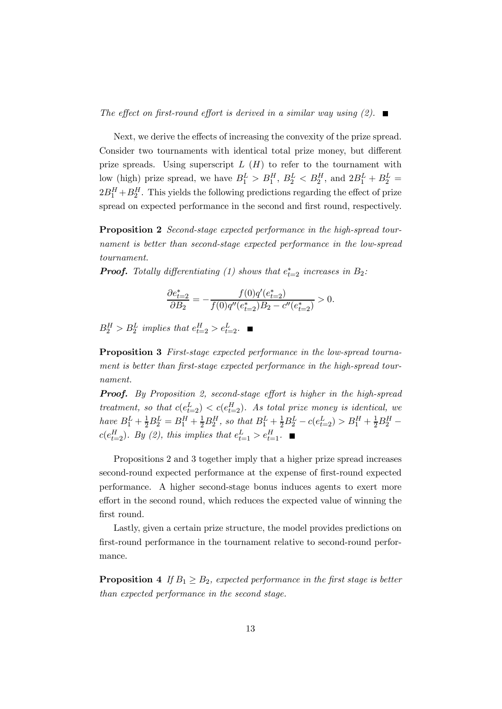The effect on first-round effort is derived in a similar way using  $(2)$ .

Next, we derive the effects of increasing the convexity of the prize spread. Consider two tournaments with identical total prize money, but different prize spreads. Using superscript  $L(H)$  to refer to the tournament with low (high) prize spread, we have  $B_1^L > B_1^H$ ,  $B_2^L < B_2^H$ , and  $2B_1^L + B_2^L =$  $2B_1^H + B_2^H$ . This yields the following predictions regarding the effect of prize spread on expected performance in the second and first round, respectively.

Proposition 2 Second-stage expected performance in the high-spread tournament is better than second-stage expected performance in the low-spread tournament.

**Proof.** Totally differentiating (1) shows that  $e_{t=2}^*$  increases in  $B_2$ .

$$
\frac{\partial e_{t=2}^*}{\partial B_2} = -\frac{f(0)q'(e_{t=2}^*)}{f(0)q''(e_{t=2}^*)B_2 - c''(e_{t=2}^*)} > 0.
$$

 $B_2^H > B_2^L$  implies that  $e_{t=2}^H > e_{t=2}^L$ .

Proposition 3 First-stage expected performance in the low-spread tournament is better than first-stage expected performance in the high-spread tournament.

**Proof.** By Proposition 2, second-stage effort is higher in the high-spread treatment, so that  $c(e_{t=2}^L) < c(e_{t=2}^H)$ . As total prize money is identical, we have  $B_1^L + \frac{1}{2}B_2^L = B_1^H + \frac{1}{2}B_2^H$ , so that  $B_1^L + \frac{1}{2}B_2^L - c(e_{t=2}^L) > B_1^H + \frac{1}{2}B_2^H$  $c(e_{t=2}^H)$ . By (2), this implies that  $e_{t=1}^L > e_{t=1}^H$ .

Propositions 2 and 3 together imply that a higher prize spread increases second-round expected performance at the expense of first-round expected performance. A higher second-stage bonus induces agents to exert more effort in the second round, which reduces the expected value of winning the first round.

Lastly, given a certain prize structure, the model provides predictions on first-round performance in the tournament relative to second-round performance.

**Proposition 4** If  $B_1 \geq B_2$ , expected performance in the first stage is better than expected performance in the second stage.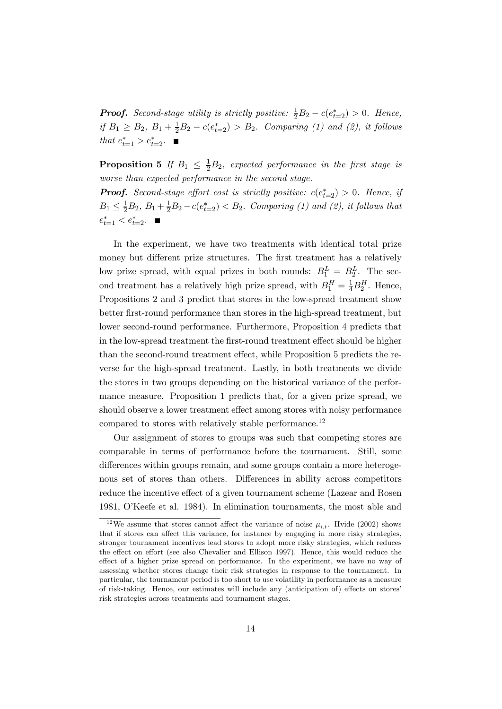**Proof.** Second-stage utility is strictly positive:  $\frac{1}{2}B_2 - c(e_{t=2}^*) > 0$ . Hence, if  $B_1 \ge B_2$ ,  $B_1 + \frac{1}{2}B_2 - c(e_{t-2}^*) > B_2$ . Comparing (1) and (2), it follows that  $e_{t=1}^* > e_{t=2}^*$ .

**Proposition 5** If  $B_1 \n\leq \frac{1}{2}B_2$ , expected performance in the first stage is worse than expected performance in the second stage.

**Proof.** Second-stage effort cost is strictly positive:  $c(e_{t=2}^*) > 0$ . Hence, if  $B_1 \leq \frac{1}{2}B_2, B_1 + \frac{1}{2}B_2 - c(e_{t=2}^*) < B_2$ . Comparing (1) and (2), it follows that  $e_{t=1}^* < e_{t=2}^*$ .

In the experiment, we have two treatments with identical total prize money but different prize structures. The first treatment has a relatively low prize spread, with equal prizes in both rounds:  $B_1^L = B_2^L$ . The second treatment has a relatively high prize spread, with  $B_1^H = \frac{1}{4}B_2^H$ . Hence, Propositions 2 and 3 predict that stores in the low-spread treatment show better first-round performance than stores in the high-spread treatment, but lower second-round performance. Furthermore, Proposition 4 predicts that in the low-spread treatment the first-round treatment effect should be higher than the second-round treatment effect, while Proposition 5 predicts the reverse for the high-spread treatment. Lastly, in both treatments we divide the stores in two groups depending on the historical variance of the performance measure. Proposition 1 predicts that, for a given prize spread, we should observe a lower treatment effect among stores with noisy performance compared to stores with relatively stable performance.<sup>12</sup>

Our assignment of stores to groups was such that competing stores are comparable in terms of performance before the tournament. Still, some differences within groups remain, and some groups contain a more heterogenous set of stores than others. Differences in ability across competitors reduce the incentive effect of a given tournament scheme (Lazear and Rosen 1981, O'Keefe et al. 1984). In elimination tournaments, the most able and

<sup>&</sup>lt;sup>12</sup>We assume that stores cannot affect the variance of noise  $\mu_{i,t}$ . Hvide (2002) shows that if stores can affect this variance, for instance by engaging in more risky strategies, stronger tournament incentives lead stores to adopt more risky strategies, which reduces the effect on effort (see also Chevalier and Ellison 1997). Hence, this would reduce the effect of a higher prize spread on performance. In the experiment, we have no way of assessing whether stores change their risk strategies in response to the tournament. In particular, the tournament period is too short to use volatility in performance as a measure of risk-taking. Hence, our estimates will include any (anticipation of) effects on stores' risk strategies across treatments and tournament stages.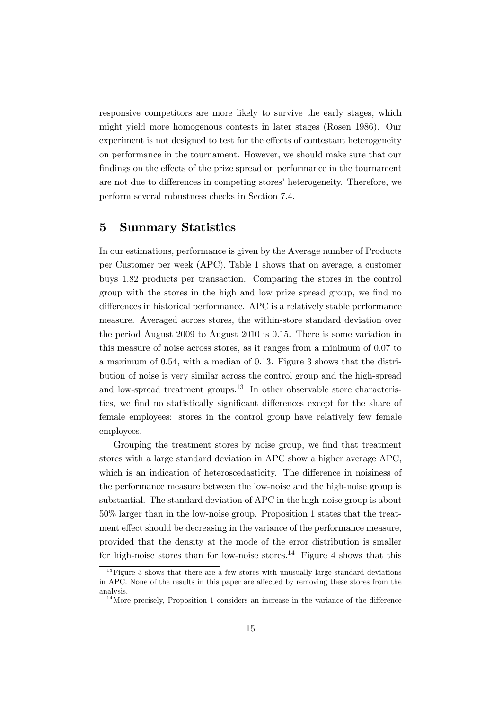responsive competitors are more likely to survive the early stages, which might yield more homogenous contests in later stages (Rosen 1986). Our experiment is not designed to test for the effects of contestant heterogeneity on performance in the tournament. However, we should make sure that our findings on the effects of the prize spread on performance in the tournament are not due to differences in competing stores' heterogeneity. Therefore, we perform several robustness checks in Section 7.4.

## 5 Summary Statistics

In our estimations, performance is given by the Average number of Products per Customer per week (APC). Table 1 shows that on average, a customer buys 1.82 products per transaction. Comparing the stores in the control group with the stores in the high and low prize spread group, we find no differences in historical performance. APC is a relatively stable performance measure. Averaged across stores, the within-store standard deviation over the period August 2009 to August 2010 is 0.15. There is some variation in this measure of noise across stores, as it ranges from a minimum of 0.07 to a maximum of 0.54, with a median of 0.13. Figure 3 shows that the distribution of noise is very similar across the control group and the high-spread and low-spread treatment groups.<sup>13</sup> In other observable store characteristics, we find no statistically significant differences except for the share of female employees: stores in the control group have relatively few female employees.

Grouping the treatment stores by noise group, we find that treatment stores with a large standard deviation in APC show a higher average APC, which is an indication of heteroscedasticity. The difference in noisiness of the performance measure between the low-noise and the high-noise group is substantial. The standard deviation of APC in the high-noise group is about 50% larger than in the low-noise group. Proposition 1 states that the treatment effect should be decreasing in the variance of the performance measure, provided that the density at the mode of the error distribution is smaller for high-noise stores than for low-noise stores.<sup>14</sup> Figure 4 shows that this

 $13$  Figure 3 shows that there are a few stores with unusually large standard deviations in APC. None of the results in this paper are affected by removing these stores from the analysis.

 $14$ More precisely, Proposition 1 considers an increase in the variance of the difference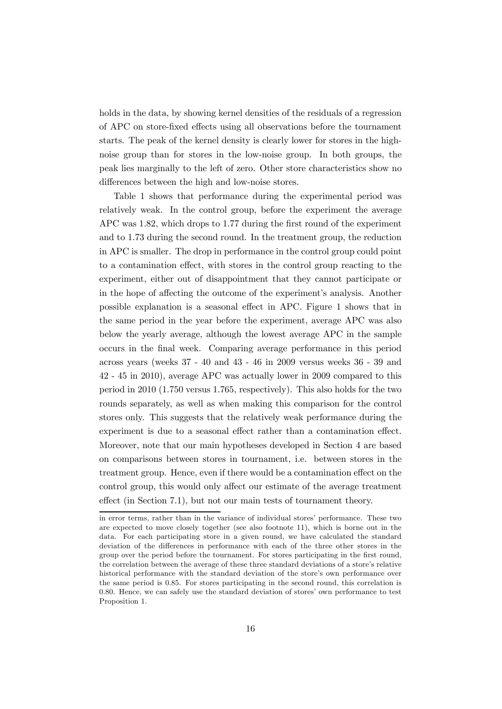holds in the data, by showing kernel densities of the residuals of a regression of APC on store-fixed effects using all observations before the tournament starts. The peak of the kernel density is clearly lower for stores in the highnoise group than for stores in the low-noise group. In both groups, the peak lies marginally to the left of zero. Other store characteristics show no differences between the high and low-noise stores.

Table 1 shows that performance during the experimental period was relatively weak. In the control group, before the experiment the average APC was 1.82, which drops to 1.77 during the first round of the experiment and to 1.73 during the second round. In the treatment group, the reduction in APC is smaller. The drop in performance in the control group could point to a contamination effect, with stores in the control group reacting to the experiment, either out of disappointment that they cannot participate or in the hope of affecting the outcome of the experiment's analysis. Another possible explanation is a seasonal effect in APC. Figure 1 shows that in the same period in the year before the experiment, average APC was also below the yearly average, although the lowest average APC in the sample occurs in the final week. Comparing average performance in this period across years (weeks 37 - 40 and 43 - 46 in 2009 versus weeks 36 - 39 and 42 - 45 in 2010), average APC was actually lower in 2009 compared to this period in 2010 (1.750 versus 1.765, respectively). This also holds for the two rounds separately, as well as when making this comparison for the control stores only. This suggests that the relatively weak performance during the experiment is due to a seasonal effect rather than a contamination effect. Moreover, note that our main hypotheses developed in Section 4 are based on comparisons between stores in tournament, i.e. between stores in the treatment group. Hence, even if there would be a contamination effect on the control group, this would only affect our estimate of the average treatment effect (in Section 7.1), but not our main tests of tournament theory.

in error terms, rather than in the variance of individual stores' performance. These two are expected to move closely together (see also footnote 11), which is borne out in the data. For each participating store in a given round, we have calculated the standard deviation of the differences in performance with each of the three other stores in the group over the period before the tournament. For stores participating in the first round, the correlation between the average of these three standard deviations of a store's relative historical performance with the standard deviation of the store's own performance over the same period is 0.85. For stores participating in the second round, this correlation is 0.80. Hence, we can safely use the standard deviation of stores' own performance to test Proposition 1.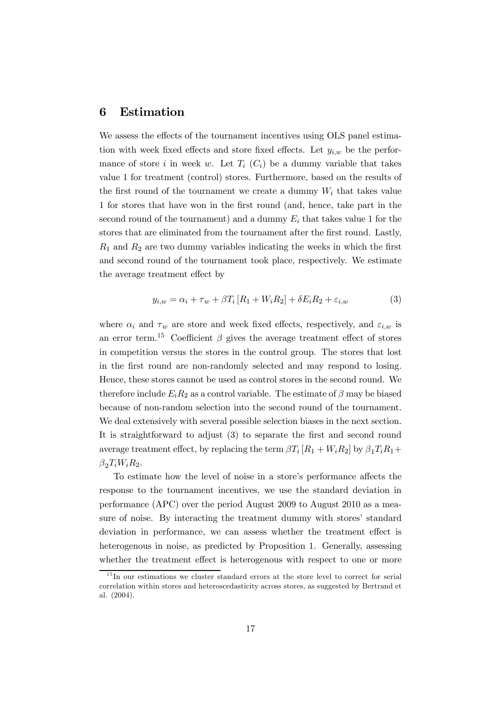## 6 Estimation

We assess the effects of the tournament incentives using OLS panel estimation with week fixed effects and store fixed effects. Let  $y_{i,w}$  be the performance of store *i* in week w. Let  $T_i$  ( $C_i$ ) be a dummy variable that takes value 1 for treatment (control) stores. Furthermore, based on the results of the first round of the tournament we create a dummy  $W_i$  that takes value 1 for stores that have won in the first round (and, hence, take part in the second round of the tournament) and a dummy  $E_i$  that takes value 1 for the stores that are eliminated from the tournament after the first round. Lastly,  $R_1$  and  $R_2$  are two dummy variables indicating the weeks in which the first and second round of the tournament took place, respectively. We estimate the average treatment effect by

$$
y_{i,w} = \alpha_i + \tau_w + \beta T_i \left[ R_1 + W_i R_2 \right] + \delta E_i R_2 + \varepsilon_{i,w} \tag{3}
$$

where  $\alpha_i$  and  $\tau_w$  are store and week fixed effects, respectively, and  $\varepsilon_{i,w}$  is an error term.<sup>15</sup> Coefficient  $\beta$  gives the average treatment effect of stores in competition versus the stores in the control group. The stores that lost in the first round are non-randomly selected and may respond to losing. Hence, these stores cannot be used as control stores in the second round. We therefore include  $E_i R_2$  as a control variable. The estimate of  $\beta$  may be biased because of non-random selection into the second round of the tournament. We deal extensively with several possible selection biases in the next section. It is straightforward to adjust (3) to separate the first and second round average treatment effect, by replacing the term  $\beta T_i [R_1 + W_i R_2]$  by  $\beta_1 T_i R_1 +$  $\beta_2 T_i W_i R_2.$ 

To estimate how the level of noise in a store's performance affects the response to the tournament incentives, we use the standard deviation in performance (APC) over the period August 2009 to August 2010 as a measure of noise. By interacting the treatment dummy with stores' standard deviation in performance, we can assess whether the treatment effect is heterogenous in noise, as predicted by Proposition 1. Generally, assessing whether the treatment effect is heterogenous with respect to one or more

 $15$  In our estimations we cluster standard errors at the store level to correct for serial correlation within stores and heteroscedasticity across stores, as suggested by Bertrand et al. (2004).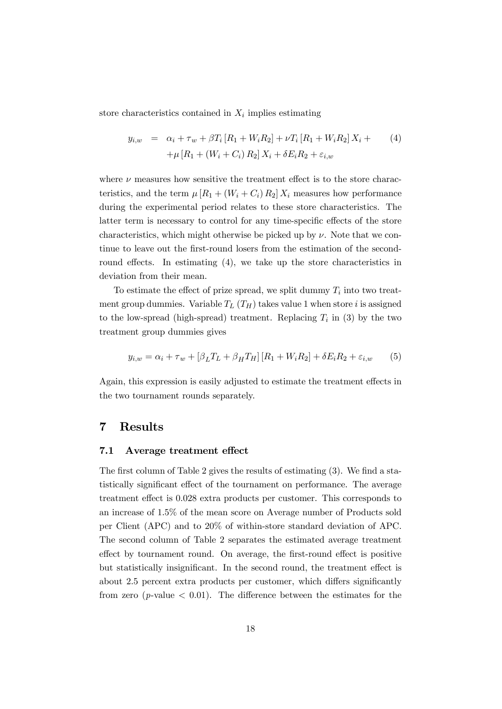store characteristics contained in  $X_i$  implies estimating

$$
y_{i,w} = \alpha_i + \tau_w + \beta T_i [R_1 + W_i R_2] + \nu T_i [R_1 + W_i R_2] X_i +
$$
  
+ 
$$
\mu [R_1 + (W_i + C_i) R_2] X_i + \delta E_i R_2 + \varepsilon_{i,w}
$$
 (4)

where  $\nu$  measures how sensitive the treatment effect is to the store characteristics, and the term  $\mu [R_1 + (W_i + C_i) R_2] X_i$  measures how performance during the experimental period relates to these store characteristics. The latter term is necessary to control for any time-specific effects of the store characteristics, which might otherwise be picked up by  $\nu$ . Note that we continue to leave out the first-round losers from the estimation of the secondround effects. In estimating (4), we take up the store characteristics in deviation from their mean.

To estimate the effect of prize spread, we split dummy  $T_i$  into two treatment group dummies. Variable  $T_L(T_H)$  takes value 1 when store *i* is assigned to the low-spread (high-spread) treatment. Replacing  $T_i$  in (3) by the two treatment group dummies gives

$$
y_{i,w} = \alpha_i + \tau_w + [\beta_L T_L + \beta_H T_H] [R_1 + W_i R_2] + \delta E_i R_2 + \varepsilon_{i,w}
$$
 (5)

Again, this expression is easily adjusted to estimate the treatment effects in the two tournament rounds separately.

## 7 Results

#### 7.1 Average treatment effect

The first column of Table 2 gives the results of estimating (3). We find a statistically significant effect of the tournament on performance. The average treatment effect is 0.028 extra products per customer. This corresponds to an increase of 1.5% of the mean score on Average number of Products sold per Client (APC) and to 20% of within-store standard deviation of APC. The second column of Table 2 separates the estimated average treatment effect by tournament round. On average, the first-round effect is positive but statistically insignificant. In the second round, the treatment effect is about 2.5 percent extra products per customer, which differs significantly from zero (*p*-value  $\langle 0.01 \rangle$ ). The difference between the estimates for the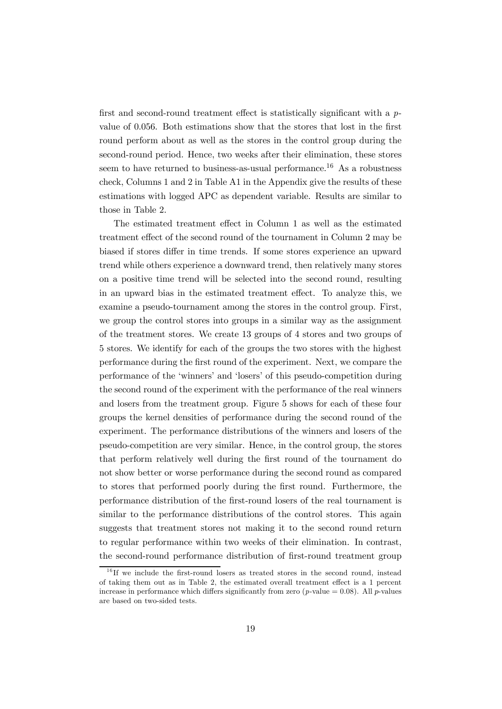first and second-round treatment effect is statistically significant with a  $p$ value of 0.056. Both estimations show that the stores that lost in the first round perform about as well as the stores in the control group during the second-round period. Hence, two weeks after their elimination, these stores seem to have returned to business-as-usual performance.<sup>16</sup> As a robustness check, Columns 1 and 2 in Table A1 in the Appendix give the results of these estimations with logged APC as dependent variable. Results are similar to those in Table 2.

The estimated treatment effect in Column 1 as well as the estimated treatment effect of the second round of the tournament in Column 2 may be biased if stores differ in time trends. If some stores experience an upward trend while others experience a downward trend, then relatively many stores on a positive time trend will be selected into the second round, resulting in an upward bias in the estimated treatment effect. To analyze this, we examine a pseudo-tournament among the stores in the control group. First, we group the control stores into groups in a similar way as the assignment of the treatment stores. We create 13 groups of 4 stores and two groups of 5 stores. We identify for each of the groups the two stores with the highest performance during the first round of the experiment. Next, we compare the performance of the 'winners' and 'losers' of this pseudo-competition during the second round of the experiment with the performance of the real winners and losers from the treatment group. Figure 5 shows for each of these four groups the kernel densities of performance during the second round of the experiment. The performance distributions of the winners and losers of the pseudo-competition are very similar. Hence, in the control group, the stores that perform relatively well during the first round of the tournament do not show better or worse performance during the second round as compared to stores that performed poorly during the first round. Furthermore, the performance distribution of the first-round losers of the real tournament is similar to the performance distributions of the control stores. This again suggests that treatment stores not making it to the second round return to regular performance within two weeks of their elimination. In contrast, the second-round performance distribution of first-round treatment group

 $16$  If we include the first-round losers as treated stores in the second round, instead of taking them out as in Table 2, the estimated overall treatment effect is a 1 percent increase in performance which differs significantly from zero (*p*-value = 0.08). All *p*-values are based on two-sided tests.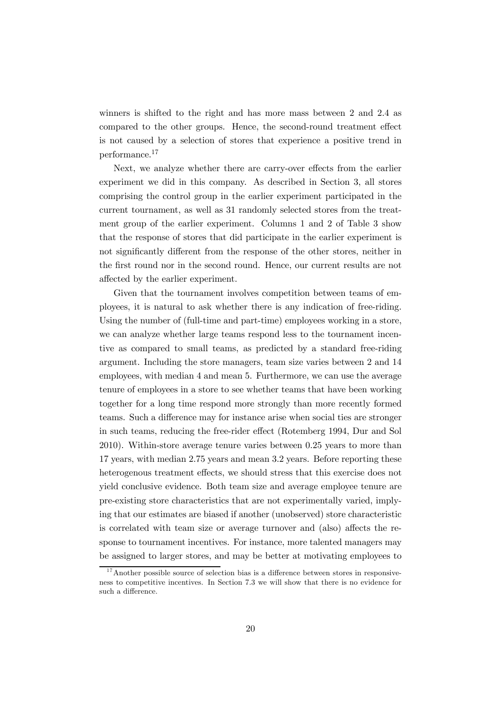winners is shifted to the right and has more mass between 2 and 2.4 as compared to the other groups. Hence, the second-round treatment effect is not caused by a selection of stores that experience a positive trend in performance.<sup>17</sup>

Next, we analyze whether there are carry-over effects from the earlier experiment we did in this company. As described in Section 3, all stores comprising the control group in the earlier experiment participated in the current tournament, as well as 31 randomly selected stores from the treatment group of the earlier experiment. Columns 1 and 2 of Table 3 show that the response of stores that did participate in the earlier experiment is not significantly different from the response of the other stores, neither in the first round nor in the second round. Hence, our current results are not affected by the earlier experiment.

Given that the tournament involves competition between teams of employees, it is natural to ask whether there is any indication of free-riding. Using the number of (full-time and part-time) employees working in a store, we can analyze whether large teams respond less to the tournament incentive as compared to small teams, as predicted by a standard free-riding argument. Including the store managers, team size varies between 2 and 14 employees, with median 4 and mean 5. Furthermore, we can use the average tenure of employees in a store to see whether teams that have been working together for a long time respond more strongly than more recently formed teams. Such a difference may for instance arise when social ties are stronger in such teams, reducing the free-rider effect (Rotemberg 1994, Dur and Sol 2010). Within-store average tenure varies between 0.25 years to more than 17 years, with median 2.75 years and mean 3.2 years. Before reporting these heterogenous treatment effects, we should stress that this exercise does not yield conclusive evidence. Both team size and average employee tenure are pre-existing store characteristics that are not experimentally varied, implying that our estimates are biased if another (unobserved) store characteristic is correlated with team size or average turnover and (also) affects the response to tournament incentives. For instance, more talented managers may be assigned to larger stores, and may be better at motivating employees to

 $17$ Another possible source of selection bias is a difference between stores in responsiveness to competitive incentives. In Section 7.3 we will show that there is no evidence for such a difference.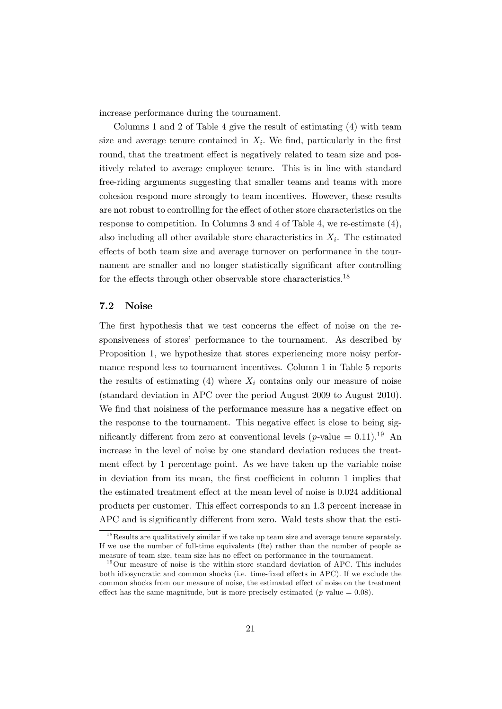increase performance during the tournament.

Columns 1 and 2 of Table 4 give the result of estimating (4) with team size and average tenure contained in  $X_i$ . We find, particularly in the first round, that the treatment effect is negatively related to team size and positively related to average employee tenure. This is in line with standard free-riding arguments suggesting that smaller teams and teams with more cohesion respond more strongly to team incentives. However, these results are not robust to controlling for the effect of other store characteristics on the response to competition. In Columns 3 and 4 of Table 4, we re-estimate (4), also including all other available store characteristics in  $X_i$ . The estimated effects of both team size and average turnover on performance in the tournament are smaller and no longer statistically significant after controlling for the effects through other observable store characteristics.<sup>18</sup>

#### 7.2 Noise

The first hypothesis that we test concerns the effect of noise on the responsiveness of stores' performance to the tournament. As described by Proposition 1, we hypothesize that stores experiencing more noisy performance respond less to tournament incentives. Column 1 in Table 5 reports the results of estimating (4) where  $X_i$  contains only our measure of noise (standard deviation in APC over the period August 2009 to August 2010). We find that noisiness of the performance measure has a negative effect on the response to the tournament. This negative effect is close to being significantly different from zero at conventional levels (*p*-value =  $0.11$ ).<sup>19</sup> An increase in the level of noise by one standard deviation reduces the treatment effect by 1 percentage point. As we have taken up the variable noise in deviation from its mean, the first coefficient in column 1 implies that the estimated treatment effect at the mean level of noise is 0.024 additional products per customer. This effect corresponds to an 1.3 percent increase in APC and is significantly different from zero. Wald tests show that the esti-

<sup>&</sup>lt;sup>18</sup>Results are qualitatively similar if we take up team size and average tenure separately. If we use the number of full-time equivalents (fte) rather than the number of people as measure of team size, team size has no effect on performance in the tournament.

 $19$ Our measure of noise is the within-store standard deviation of APC. This includes both idiosyncratic and common shocks (i.e. time-fixed effects in APC). If we exclude the common shocks from our measure of noise, the estimated effect of noise on the treatment effect has the same magnitude, but is more precisely estimated ( $p$ -value = 0.08).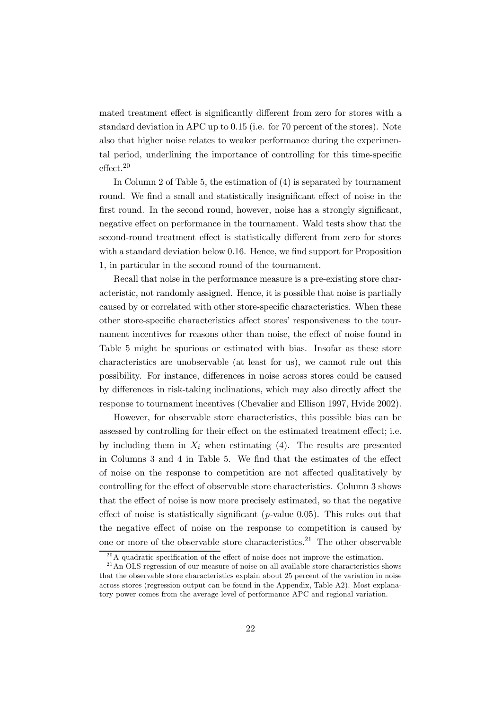mated treatment effect is significantly different from zero for stores with a standard deviation in APC up to 0.15 (i.e. for 70 percent of the stores). Note also that higher noise relates to weaker performance during the experimental period, underlining the importance of controlling for this time-specific effect.20

In Column 2 of Table 5, the estimation of (4) is separated by tournament round. We find a small and statistically insignificant effect of noise in the first round. In the second round, however, noise has a strongly significant, negative effect on performance in the tournament. Wald tests show that the second-round treatment effect is statistically different from zero for stores with a standard deviation below 0.16. Hence, we find support for Proposition 1, in particular in the second round of the tournament.

Recall that noise in the performance measure is a pre-existing store characteristic, not randomly assigned. Hence, it is possible that noise is partially caused by or correlated with other store-specific characteristics. When these other store-specific characteristics affect stores' responsiveness to the tournament incentives for reasons other than noise, the effect of noise found in Table 5 might be spurious or estimated with bias. Insofar as these store characteristics are unobservable (at least for us), we cannot rule out this possibility. For instance, differences in noise across stores could be caused by differences in risk-taking inclinations, which may also directly affect the response to tournament incentives (Chevalier and Ellison 1997, Hvide 2002).

However, for observable store characteristics, this possible bias can be assessed by controlling for their effect on the estimated treatment effect; i.e. by including them in  $X_i$  when estimating (4). The results are presented in Columns 3 and 4 in Table 5. We find that the estimates of the effect of noise on the response to competition are not affected qualitatively by controlling for the effect of observable store characteristics. Column 3 shows that the effect of noise is now more precisely estimated, so that the negative effect of noise is statistically significant (*p*-value 0.05). This rules out that the negative effect of noise on the response to competition is caused by one or more of the observable store characteristics.<sup>21</sup> The other observable

 $^{20}$ A quadratic specification of the effect of noise does not improve the estimation.

 $^{21}$ An OLS regression of our measure of noise on all available store characteristics shows that the observable store characteristics explain about 25 percent of the variation in noise across stores (regression output can be found in the Appendix, Table A2). Most explanatory power comes from the average level of performance APC and regional variation.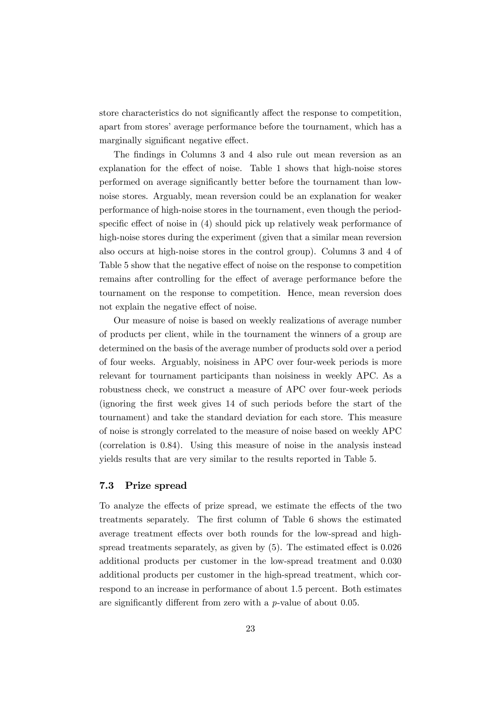store characteristics do not significantly affect the response to competition, apart from stores' average performance before the tournament, which has a marginally significant negative effect.

The findings in Columns 3 and 4 also rule out mean reversion as an explanation for the effect of noise. Table 1 shows that high-noise stores performed on average significantly better before the tournament than lownoise stores. Arguably, mean reversion could be an explanation for weaker performance of high-noise stores in the tournament, even though the periodspecific effect of noise in (4) should pick up relatively weak performance of high-noise stores during the experiment (given that a similar mean reversion also occurs at high-noise stores in the control group). Columns 3 and 4 of Table 5 show that the negative effect of noise on the response to competition remains after controlling for the effect of average performance before the tournament on the response to competition. Hence, mean reversion does not explain the negative effect of noise.

Our measure of noise is based on weekly realizations of average number of products per client, while in the tournament the winners of a group are determined on the basis of the average number of products sold over a period of four weeks. Arguably, noisiness in APC over four-week periods is more relevant for tournament participants than noisiness in weekly APC. As a robustness check, we construct a measure of APC over four-week periods (ignoring the first week gives 14 of such periods before the start of the tournament) and take the standard deviation for each store. This measure of noise is strongly correlated to the measure of noise based on weekly APC (correlation is 0.84). Using this measure of noise in the analysis instead yields results that are very similar to the results reported in Table 5.

### 7.3 Prize spread

To analyze the effects of prize spread, we estimate the effects of the two treatments separately. The first column of Table 6 shows the estimated average treatment effects over both rounds for the low-spread and highspread treatments separately, as given by (5). The estimated effect is 0.026 additional products per customer in the low-spread treatment and 0.030 additional products per customer in the high-spread treatment, which correspond to an increase in performance of about 1.5 percent. Both estimates are significantly different from zero with a p-value of about 0.05.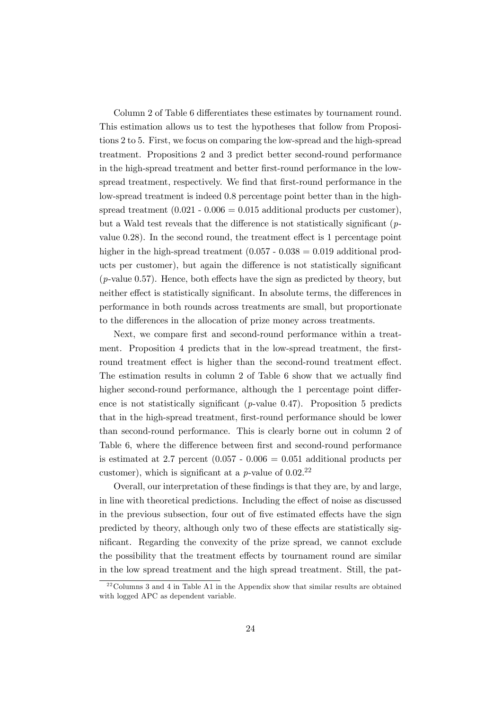Column 2 of Table 6 differentiates these estimates by tournament round. This estimation allows us to test the hypotheses that follow from Propositions 2 to 5. First, we focus on comparing the low-spread and the high-spread treatment. Propositions 2 and 3 predict better second-round performance in the high-spread treatment and better first-round performance in the lowspread treatment, respectively. We find that first-round performance in the low-spread treatment is indeed 0.8 percentage point better than in the highspread treatment  $(0.021 - 0.006 = 0.015$  additional products per customer), but a Wald test reveals that the difference is not statistically significant  $(p$ value 0.28). In the second round, the treatment effect is 1 percentage point higher in the high-spread treatment  $(0.057 - 0.038 = 0.019$  additional products per customer), but again the difference is not statistically significant (p-value 0.57). Hence, both effects have the sign as predicted by theory, but neither effect is statistically significant. In absolute terms, the differences in performance in both rounds across treatments are small, but proportionate to the differences in the allocation of prize money across treatments.

Next, we compare first and second-round performance within a treatment. Proposition 4 predicts that in the low-spread treatment, the firstround treatment effect is higher than the second-round treatment effect. The estimation results in column 2 of Table 6 show that we actually find higher second-round performance, although the 1 percentage point difference is not statistically significant ( $p$ -value 0.47). Proposition 5 predicts that in the high-spread treatment, first-round performance should be lower than second-round performance. This is clearly borne out in column 2 of Table 6, where the difference between first and second-round performance is estimated at 2.7 percent  $(0.057 - 0.006 = 0.051$  additional products per customer), which is significant at a  $p$ -value of  $0.02<sup>22</sup>$ 

Overall, our interpretation of these findings is that they are, by and large, in line with theoretical predictions. Including the effect of noise as discussed in the previous subsection, four out of five estimated effects have the sign predicted by theory, although only two of these effects are statistically significant. Regarding the convexity of the prize spread, we cannot exclude the possibility that the treatment effects by tournament round are similar in the low spread treatment and the high spread treatment. Still, the pat-

 $22 \text{Columns } 3$  and 4 in Table A1 in the Appendix show that similar results are obtained with logged APC as dependent variable.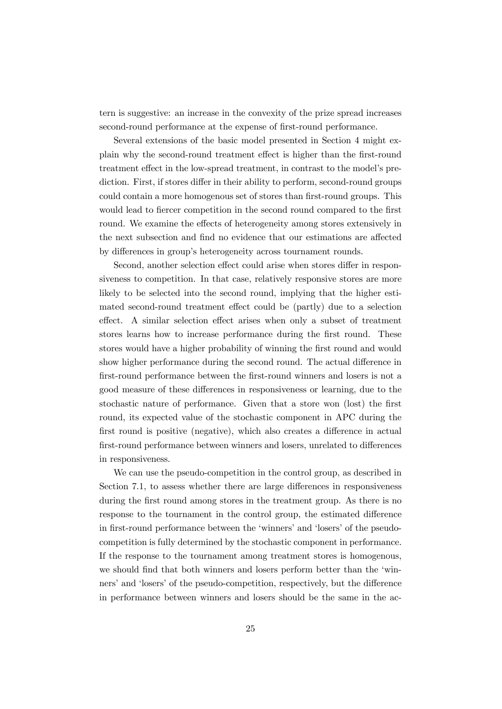tern is suggestive: an increase in the convexity of the prize spread increases second-round performance at the expense of first-round performance.

Several extensions of the basic model presented in Section 4 might explain why the second-round treatment effect is higher than the first-round treatment effect in the low-spread treatment, in contrast to the model's prediction. First, if stores differ in their ability to perform, second-round groups could contain a more homogenous set of stores than first-round groups. This would lead to fiercer competition in the second round compared to the first round. We examine the effects of heterogeneity among stores extensively in the next subsection and find no evidence that our estimations are affected by differences in group's heterogeneity across tournament rounds.

Second, another selection effect could arise when stores differ in responsiveness to competition. In that case, relatively responsive stores are more likely to be selected into the second round, implying that the higher estimated second-round treatment effect could be (partly) due to a selection effect. A similar selection effect arises when only a subset of treatment stores learns how to increase performance during the first round. These stores would have a higher probability of winning the first round and would show higher performance during the second round. The actual difference in first-round performance between the first-round winners and losers is not a good measure of these differences in responsiveness or learning, due to the stochastic nature of performance. Given that a store won (lost) the first round, its expected value of the stochastic component in APC during the first round is positive (negative), which also creates a difference in actual first-round performance between winners and losers, unrelated to differences in responsiveness.

We can use the pseudo-competition in the control group, as described in Section 7.1, to assess whether there are large differences in responsiveness during the first round among stores in the treatment group. As there is no response to the tournament in the control group, the estimated difference in first-round performance between the 'winners' and 'losers' of the pseudocompetition is fully determined by the stochastic component in performance. If the response to the tournament among treatment stores is homogenous, we should find that both winners and losers perform better than the 'winners' and 'losers' of the pseudo-competition, respectively, but the difference in performance between winners and losers should be the same in the ac-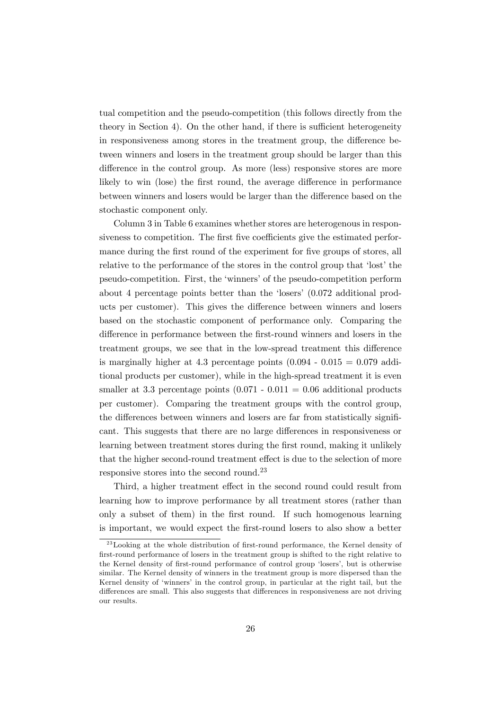tual competition and the pseudo-competition (this follows directly from the theory in Section 4). On the other hand, if there is sufficient heterogeneity in responsiveness among stores in the treatment group, the difference between winners and losers in the treatment group should be larger than this difference in the control group. As more (less) responsive stores are more likely to win (lose) the first round, the average difference in performance between winners and losers would be larger than the difference based on the stochastic component only.

Column 3 in Table 6 examines whether stores are heterogenous in responsiveness to competition. The first five coefficients give the estimated performance during the first round of the experiment for five groups of stores, all relative to the performance of the stores in the control group that 'lost' the pseudo-competition. First, the 'winners' of the pseudo-competition perform about 4 percentage points better than the 'losers' (0.072 additional products per customer). This gives the difference between winners and losers based on the stochastic component of performance only. Comparing the difference in performance between the first-round winners and losers in the treatment groups, we see that in the low-spread treatment this difference is marginally higher at 4.3 percentage points  $(0.094 - 0.015 = 0.079$  additional products per customer), while in the high-spread treatment it is even smaller at 3.3 percentage points  $(0.071 - 0.011 = 0.06$  additional products per customer). Comparing the treatment groups with the control group, the differences between winners and losers are far from statistically significant. This suggests that there are no large differences in responsiveness or learning between treatment stores during the first round, making it unlikely that the higher second-round treatment effect is due to the selection of more responsive stores into the second round.23

Third, a higher treatment effect in the second round could result from learning how to improve performance by all treatment stores (rather than only a subset of them) in the first round. If such homogenous learning is important, we would expect the first-round losers to also show a better

 $^{23}$ Looking at the whole distribution of first-round performance, the Kernel density of first-round performance of losers in the treatment group is shifted to the right relative to the Kernel density of first-round performance of control group 'losers', but is otherwise similar. The Kernel density of winners in the treatment group is more dispersed than the Kernel density of 'winners' in the control group, in particular at the right tail, but the differences are small. This also suggests that differences in responsiveness are not driving our results.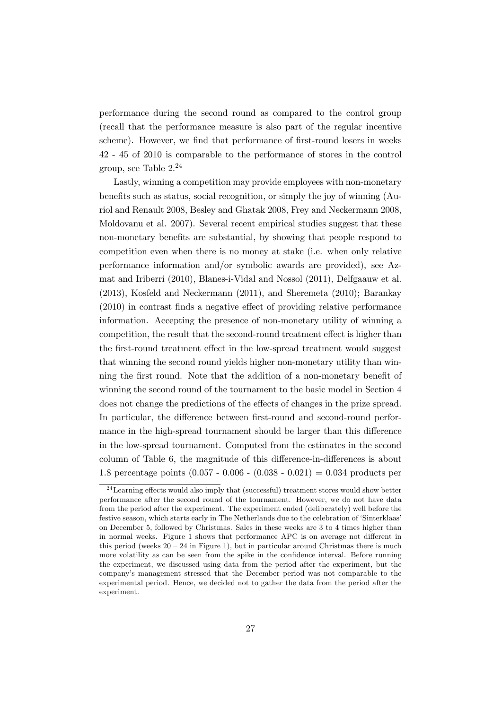performance during the second round as compared to the control group (recall that the performance measure is also part of the regular incentive scheme). However, we find that performance of first-round losers in weeks 42 - 45 of 2010 is comparable to the performance of stores in the control group, see Table 2.<sup>24</sup>

Lastly, winning a competition may provide employees with non-monetary benefits such as status, social recognition, or simply the joy of winning (Auriol and Renault 2008, Besley and Ghatak 2008, Frey and Neckermann 2008, Moldovanu et al. 2007). Several recent empirical studies suggest that these non-monetary benefits are substantial, by showing that people respond to competition even when there is no money at stake (i.e. when only relative performance information and/or symbolic awards are provided), see Azmat and Iriberri (2010), Blanes-i-Vidal and Nossol (2011), Delfgaauw et al. (2013), Kosfeld and Neckermann (2011), and Sheremeta (2010); Barankay (2010) in contrast finds a negative effect of providing relative performance information. Accepting the presence of non-monetary utility of winning a competition, the result that the second-round treatment effect is higher than the first-round treatment effect in the low-spread treatment would suggest that winning the second round yields higher non-monetary utility than winning the first round. Note that the addition of a non-monetary benefit of winning the second round of the tournament to the basic model in Section 4 does not change the predictions of the effects of changes in the prize spread. In particular, the difference between first-round and second-round performance in the high-spread tournament should be larger than this difference in the low-spread tournament. Computed from the estimates in the second column of Table 6, the magnitude of this difference-in-differences is about 1.8 percentage points  $(0.057 - 0.006 - (0.038 - 0.021) = 0.034$  products per

 $24$  Learning effects would also imply that (successful) treatment stores would show better performance after the second round of the tournament. However, we do not have data from the period after the experiment. The experiment ended (deliberately) well before the festive season, which starts early in The Netherlands due to the celebration of 'Sinterklaas' on December 5, followed by Christmas. Sales in these weeks are 3 to 4 times higher than in normal weeks. Figure 1 shows that performance APC is on average not different in this period (weeks  $20 - 24$  in Figure 1), but in particular around Christmas there is much more volatility as can be seen from the spike in the confidence interval. Before running the experiment, we discussed using data from the period after the experiment, but the company's management stressed that the December period was not comparable to the experimental period. Hence, we decided not to gather the data from the period after the experiment.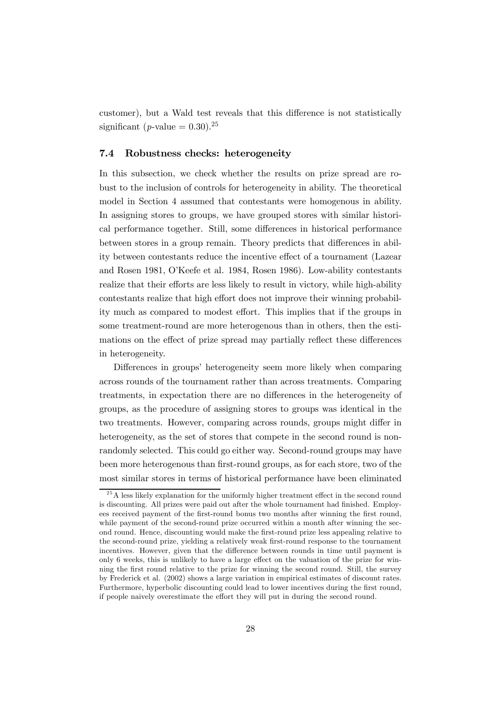customer), but a Wald test reveals that this difference is not statistically significant (*p*-value =  $0.30$ ).<sup>25</sup>

#### 7.4 Robustness checks: heterogeneity

In this subsection, we check whether the results on prize spread are robust to the inclusion of controls for heterogeneity in ability. The theoretical model in Section 4 assumed that contestants were homogenous in ability. In assigning stores to groups, we have grouped stores with similar historical performance together. Still, some differences in historical performance between stores in a group remain. Theory predicts that differences in ability between contestants reduce the incentive effect of a tournament (Lazear and Rosen 1981, O'Keefe et al. 1984, Rosen 1986). Low-ability contestants realize that their efforts are less likely to result in victory, while high-ability contestants realize that high effort does not improve their winning probability much as compared to modest effort. This implies that if the groups in some treatment-round are more heterogenous than in others, then the estimations on the effect of prize spread may partially reflect these differences in heterogeneity.

Differences in groups' heterogeneity seem more likely when comparing across rounds of the tournament rather than across treatments. Comparing treatments, in expectation there are no differences in the heterogeneity of groups, as the procedure of assigning stores to groups was identical in the two treatments. However, comparing across rounds, groups might differ in heterogeneity, as the set of stores that compete in the second round is nonrandomly selected. This could go either way. Second-round groups may have been more heterogenous than first-round groups, as for each store, two of the most similar stores in terms of historical performance have been eliminated

 $^{25}$ A less likely explanation for the uniformly higher treatment effect in the second round is discounting. All prizes were paid out after the whole tournament had finished. Employees received payment of the first-round bonus two months after winning the first round, while payment of the second-round prize occurred within a month after winning the second round. Hence, discounting would make the first-round prize less appealing relative to the second-round prize, yielding a relatively weak first-round response to the tournament incentives. However, given that the difference between rounds in time until payment is only 6 weeks, this is unlikely to have a large effect on the valuation of the prize for winning the first round relative to the prize for winning the second round. Still, the survey by Frederick et al. (2002) shows a large variation in empirical estimates of discount rates. Furthermore, hyperbolic discounting could lead to lower incentives during the first round, if people naively overestimate the effort they will put in during the second round.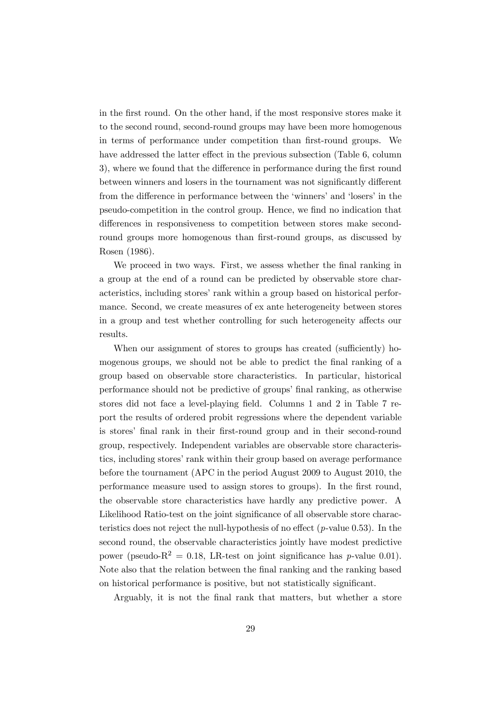in the first round. On the other hand, if the most responsive stores make it to the second round, second-round groups may have been more homogenous in terms of performance under competition than first-round groups. We have addressed the latter effect in the previous subsection (Table 6, column 3), where we found that the difference in performance during the first round between winners and losers in the tournament was not significantly different from the difference in performance between the 'winners' and 'losers' in the pseudo-competition in the control group. Hence, we find no indication that differences in responsiveness to competition between stores make secondround groups more homogenous than first-round groups, as discussed by Rosen (1986).

We proceed in two ways. First, we assess whether the final ranking in a group at the end of a round can be predicted by observable store characteristics, including stores' rank within a group based on historical performance. Second, we create measures of ex ante heterogeneity between stores in a group and test whether controlling for such heterogeneity affects our results.

When our assignment of stores to groups has created (sufficiently) homogenous groups, we should not be able to predict the final ranking of a group based on observable store characteristics. In particular, historical performance should not be predictive of groups' final ranking, as otherwise stores did not face a level-playing field. Columns 1 and 2 in Table 7 report the results of ordered probit regressions where the dependent variable is stores' final rank in their first-round group and in their second-round group, respectively. Independent variables are observable store characteristics, including stores' rank within their group based on average performance before the tournament (APC in the period August 2009 to August 2010, the performance measure used to assign stores to groups). In the first round, the observable store characteristics have hardly any predictive power. A Likelihood Ratio-test on the joint significance of all observable store characteristics does not reject the null-hypothesis of no effect  $(p$ -value 0.53). In the second round, the observable characteristics jointly have modest predictive power (pseudo- $R^2 = 0.18$ , LR-test on joint significance has p-value 0.01). Note also that the relation between the final ranking and the ranking based on historical performance is positive, but not statistically significant.

Arguably, it is not the final rank that matters, but whether a store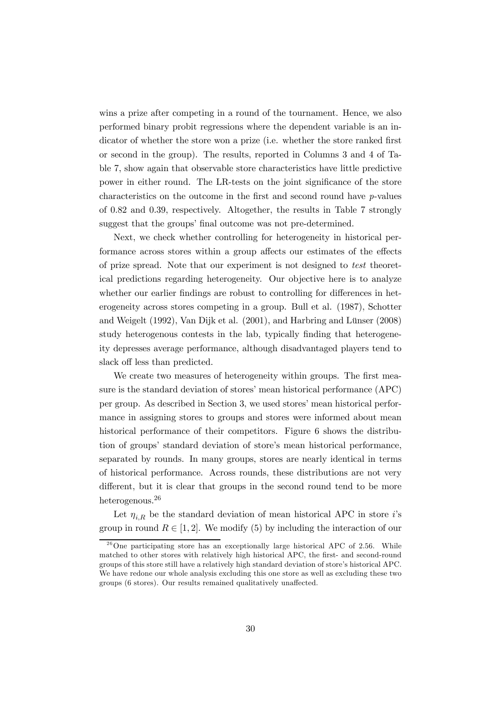wins a prize after competing in a round of the tournament. Hence, we also performed binary probit regressions where the dependent variable is an indicator of whether the store won a prize (i.e. whether the store ranked first or second in the group). The results, reported in Columns 3 and 4 of Table 7, show again that observable store characteristics have little predictive power in either round. The LR-tests on the joint significance of the store characteristics on the outcome in the first and second round have  $p$ -values of 0.82 and 0.39, respectively. Altogether, the results in Table 7 strongly suggest that the groups' final outcome was not pre-determined.

Next, we check whether controlling for heterogeneity in historical performance across stores within a group affects our estimates of the effects of prize spread. Note that our experiment is not designed to test theoretical predictions regarding heterogeneity. Our objective here is to analyze whether our earlier findings are robust to controlling for differences in heterogeneity across stores competing in a group. Bull et al. (1987), Schotter and Weigelt (1992), Van Dijk et al. (2001), and Harbring and Lünser (2008) study heterogenous contests in the lab, typically finding that heterogeneity depresses average performance, although disadvantaged players tend to slack off less than predicted.

We create two measures of heterogeneity within groups. The first measure is the standard deviation of stores' mean historical performance (APC) per group. As described in Section 3, we used stores' mean historical performance in assigning stores to groups and stores were informed about mean historical performance of their competitors. Figure 6 shows the distribution of groups' standard deviation of store's mean historical performance, separated by rounds. In many groups, stores are nearly identical in terms of historical performance. Across rounds, these distributions are not very different, but it is clear that groups in the second round tend to be more heterogenous.<sup>26</sup>

Let  $\eta_{i,R}$  be the standard deviation of mean historical APC in store *i*'s group in round  $R \in [1,2]$ . We modify (5) by including the interaction of our

 $^{26}$ One participating store has an exceptionally large historical APC of 2.56. While matched to other stores with relatively high historical APC, the first- and second-round groups of this store still have a relatively high standard deviation of store's historical APC. We have redone our whole analysis excluding this one store as well as excluding these two groups (6 stores). Our results remained qualitatively unaffected.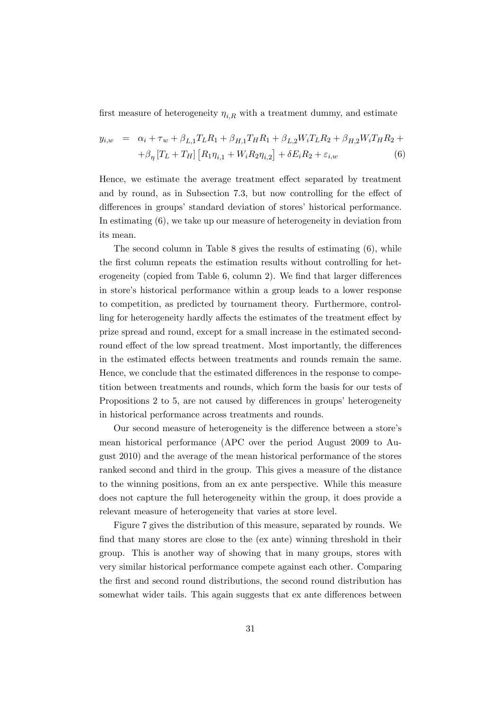first measure of heterogeneity  $\eta_{i,R}$  with a treatment dummy, and estimate

$$
y_{i,w} = \alpha_i + \tau_w + \beta_{L,1} T_L R_1 + \beta_{H,1} T_H R_1 + \beta_{L,2} W_i T_L R_2 + \beta_{H,2} W_i T_H R_2 +
$$
  
+ 
$$
\beta_{\eta} [T_L + T_H] [R_1 \eta_{i,1} + W_i R_2 \eta_{i,2}] + \delta E_i R_2 + \varepsilon_{i,w}
$$
 (6)

Hence, we estimate the average treatment effect separated by treatment and by round, as in Subsection 7.3, but now controlling for the effect of differences in groups' standard deviation of stores' historical performance. In estimating (6), we take up our measure of heterogeneity in deviation from its mean.

The second column in Table 8 gives the results of estimating (6), while the first column repeats the estimation results without controlling for heterogeneity (copied from Table 6, column 2). We find that larger differences in store's historical performance within a group leads to a lower response to competition, as predicted by tournament theory. Furthermore, controlling for heterogeneity hardly affects the estimates of the treatment effect by prize spread and round, except for a small increase in the estimated secondround effect of the low spread treatment. Most importantly, the differences in the estimated effects between treatments and rounds remain the same. Hence, we conclude that the estimated differences in the response to competition between treatments and rounds, which form the basis for our tests of Propositions 2 to 5, are not caused by differences in groups' heterogeneity in historical performance across treatments and rounds.

Our second measure of heterogeneity is the difference between a store's mean historical performance (APC over the period August 2009 to August 2010) and the average of the mean historical performance of the stores ranked second and third in the group. This gives a measure of the distance to the winning positions, from an ex ante perspective. While this measure does not capture the full heterogeneity within the group, it does provide a relevant measure of heterogeneity that varies at store level.

Figure 7 gives the distribution of this measure, separated by rounds. We find that many stores are close to the (ex ante) winning threshold in their group. This is another way of showing that in many groups, stores with very similar historical performance compete against each other. Comparing the first and second round distributions, the second round distribution has somewhat wider tails. This again suggests that ex ante differences between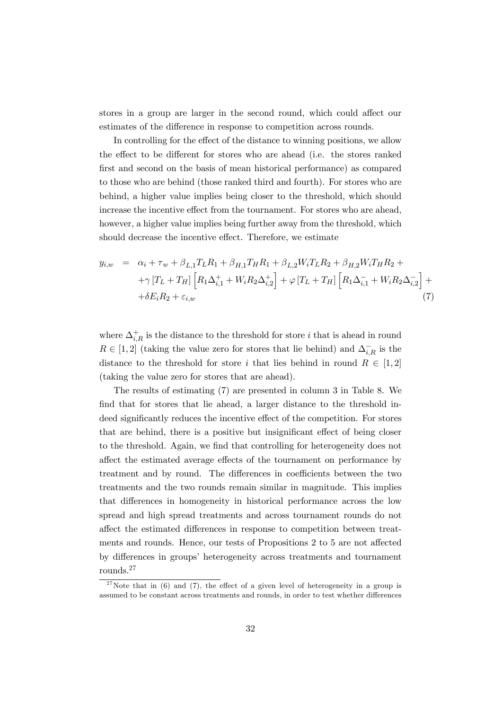stores in a group are larger in the second round, which could affect our estimates of the difference in response to competition across rounds.

In controlling for the effect of the distance to winning positions, we allow the effect to be different for stores who are ahead (i.e. the stores ranked first and second on the basis of mean historical performance) as compared to those who are behind (those ranked third and fourth). For stores who are behind, a higher value implies being closer to the threshold, which should increase the incentive effect from the tournament. For stores who are ahead, however, a higher value implies being further away from the threshold, which should decrease the incentive effect. Therefore, we estimate

$$
y_{i,w} = \alpha_i + \tau_w + \beta_{L,1} T_L R_1 + \beta_{H,1} T_H R_1 + \beta_{L,2} W_i T_L R_2 + \beta_{H,2} W_i T_H R_2 +
$$
  
+ $\gamma [T_L + T_H] \left[ R_1 \Delta_{i,1}^+ + W_i R_2 \Delta_{i,2}^+ \right] + \varphi [T_L + T_H] \left[ R_1 \Delta_{i,1}^- + W_i R_2 \Delta_{i,2}^- \right] +$   
+ $\delta E_i R_2 + \varepsilon_{i,w}$  (7)

where  $\Delta_{i,R}^+$  is the distance to the threshold for store *i* that is ahead in round  $R \in [1,2]$  (taking the value zero for stores that lie behind) and  $\Delta_{i,R}^-$  is the distance to the threshold for store *i* that lies behind in round  $R \in [1,2]$ (taking the value zero for stores that are ahead).

The results of estimating (7) are presented in column 3 in Table 8. We find that for stores that lie ahead, a larger distance to the threshold indeed significantly reduces the incentive effect of the competition. For stores that are behind, there is a positive but insignificant effect of being closer to the threshold. Again, we find that controlling for heterogeneity does not affect the estimated average effects of the tournament on performance by treatment and by round. The differences in coefficients between the two treatments and the two rounds remain similar in magnitude. This implies that differences in homogeneity in historical performance across the low spread and high spread treatments and across tournament rounds do not affect the estimated differences in response to competition between treatments and rounds. Hence, our tests of Propositions 2 to 5 are not affected by differences in groups' heterogeneity across treatments and tournament rounds.27

<sup>&</sup>lt;sup>27</sup>Note that in (6) and (7), the effect of a given level of heterogeneity in a group is assumed to be constant across treatments and rounds, in order to test whether differences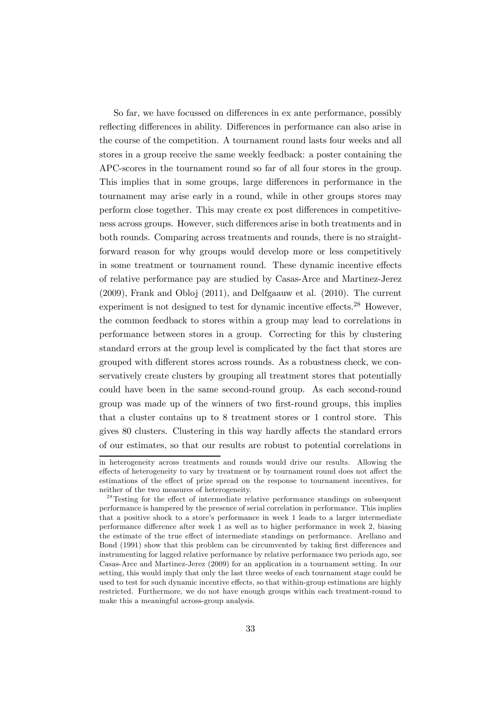So far, we have focussed on differences in ex ante performance, possibly reflecting differences in ability. Differences in performance can also arise in the course of the competition. A tournament round lasts four weeks and all stores in a group receive the same weekly feedback: a poster containing the APC-scores in the tournament round so far of all four stores in the group. This implies that in some groups, large differences in performance in the tournament may arise early in a round, while in other groups stores may perform close together. This may create ex post differences in competitiveness across groups. However, such differences arise in both treatments and in both rounds. Comparing across treatments and rounds, there is no straightforward reason for why groups would develop more or less competitively in some treatment or tournament round. These dynamic incentive effects of relative performance pay are studied by Casas-Arce and Martinez-Jerez (2009), Frank and Obloj (2011), and Delfgaauw et al. (2010). The current experiment is not designed to test for dynamic incentive effects.<sup>28</sup> However, the common feedback to stores within a group may lead to correlations in performance between stores in a group. Correcting for this by clustering standard errors at the group level is complicated by the fact that stores are grouped with different stores across rounds. As a robustness check, we conservatively create clusters by grouping all treatment stores that potentially could have been in the same second-round group. As each second-round group was made up of the winners of two first-round groups, this implies that a cluster contains up to 8 treatment stores or 1 control store. This gives 80 clusters. Clustering in this way hardly affects the standard errors of our estimates, so that our results are robust to potential correlations in

in heterogeneity across treatments and rounds would drive our results. Allowing the effects of heterogeneity to vary by treatment or by tournament round does not affect the estimations of the effect of prize spread on the response to tournament incentives, for neither of the two measures of heterogeneity.

<sup>&</sup>lt;sup>28</sup>Testing for the effect of intermediate relative performance standings on subsequent performance is hampered by the presence of serial correlation in performance. This implies that a positive shock to a store's performance in week 1 leads to a larger intermediate performance difference after week 1 as well as to higher performance in week 2, biasing the estimate of the true effect of intermediate standings on performance. Arellano and Bond (1991) show that this problem can be circumvented by taking first differences and instrumenting for lagged relative performance by relative performance two periods ago, see Casas-Arce and Martinez-Jerez (2009) for an application in a tournament setting. In our setting, this would imply that only the last three weeks of each tournament stage could be used to test for such dynamic incentive effects, so that within-group estimations are highly restricted. Furthermore, we do not have enough groups within each treatment-round to make this a meaningful across-group analysis.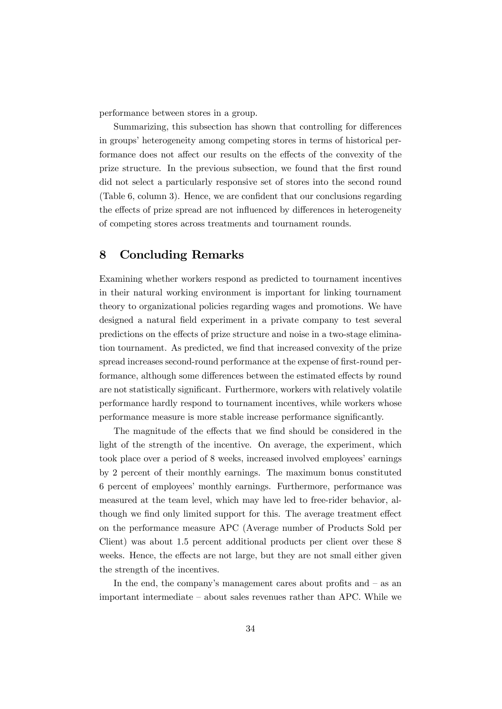performance between stores in a group.

Summarizing, this subsection has shown that controlling for differences in groups' heterogeneity among competing stores in terms of historical performance does not affect our results on the effects of the convexity of the prize structure. In the previous subsection, we found that the first round did not select a particularly responsive set of stores into the second round (Table 6, column 3). Hence, we are confident that our conclusions regarding the effects of prize spread are not influenced by differences in heterogeneity of competing stores across treatments and tournament rounds.

## 8 Concluding Remarks

Examining whether workers respond as predicted to tournament incentives in their natural working environment is important for linking tournament theory to organizational policies regarding wages and promotions. We have designed a natural field experiment in a private company to test several predictions on the effects of prize structure and noise in a two-stage elimination tournament. As predicted, we find that increased convexity of the prize spread increases second-round performance at the expense of first-round performance, although some differences between the estimated effects by round are not statistically significant. Furthermore, workers with relatively volatile performance hardly respond to tournament incentives, while workers whose performance measure is more stable increase performance significantly.

The magnitude of the effects that we find should be considered in the light of the strength of the incentive. On average, the experiment, which took place over a period of 8 weeks, increased involved employees' earnings by 2 percent of their monthly earnings. The maximum bonus constituted 6 percent of employees' monthly earnings. Furthermore, performance was measured at the team level, which may have led to free-rider behavior, although we find only limited support for this. The average treatment effect on the performance measure APC (Average number of Products Sold per Client) was about 1.5 percent additional products per client over these 8 weeks. Hence, the effects are not large, but they are not small either given the strength of the incentives.

In the end, the company's management cares about profits and  $-$  as an important intermediate — about sales revenues rather than APC. While we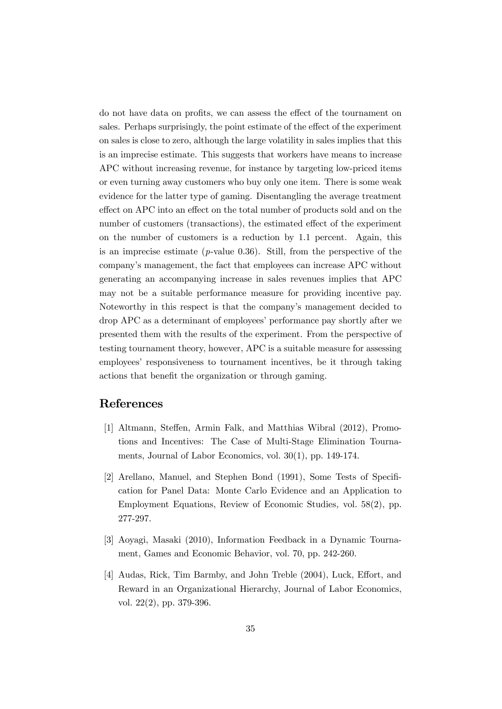do not have data on profits, we can assess the effect of the tournament on sales. Perhaps surprisingly, the point estimate of the effect of the experiment on sales is close to zero, although the large volatility in sales implies that this is an imprecise estimate. This suggests that workers have means to increase APC without increasing revenue, for instance by targeting low-priced items or even turning away customers who buy only one item. There is some weak evidence for the latter type of gaming. Disentangling the average treatment effect on APC into an effect on the total number of products sold and on the number of customers (transactions), the estimated effect of the experiment on the number of customers is a reduction by 1.1 percent. Again, this is an imprecise estimate ( $p$ -value 0.36). Still, from the perspective of the company's management, the fact that employees can increase APC without generating an accompanying increase in sales revenues implies that APC may not be a suitable performance measure for providing incentive pay. Noteworthy in this respect is that the company's management decided to drop APC as a determinant of employees' performance pay shortly after we presented them with the results of the experiment. From the perspective of testing tournament theory, however, APC is a suitable measure for assessing employees' responsiveness to tournament incentives, be it through taking actions that benefit the organization or through gaming.

# References

- [1] Altmann, Steffen, Armin Falk, and Matthias Wibral (2012), Promotions and Incentives: The Case of Multi-Stage Elimination Tournaments, Journal of Labor Economics, vol. 30(1), pp. 149-174.
- [2] Arellano, Manuel, and Stephen Bond (1991), Some Tests of Specification for Panel Data: Monte Carlo Evidence and an Application to Employment Equations, Review of Economic Studies, vol. 58(2), pp. 277-297.
- [3] Aoyagi, Masaki (2010), Information Feedback in a Dynamic Tournament, Games and Economic Behavior, vol. 70, pp. 242-260.
- [4] Audas, Rick, Tim Barmby, and John Treble (2004), Luck, Effort, and Reward in an Organizational Hierarchy, Journal of Labor Economics, vol. 22(2), pp. 379-396.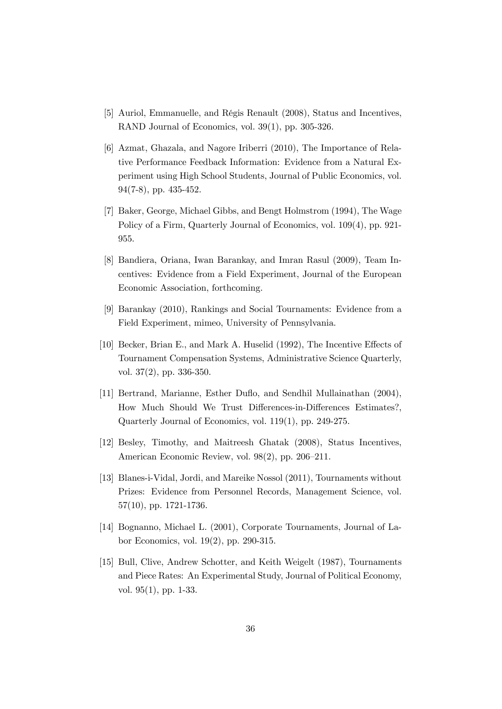- [5] Auriol, Emmanuelle, and Régis Renault (2008), Status and Incentives, RAND Journal of Economics, vol. 39(1), pp. 305-326.
- [6] Azmat, Ghazala, and Nagore Iriberri (2010), The Importance of Relative Performance Feedback Information: Evidence from a Natural Experiment using High School Students, Journal of Public Economics, vol. 94(7-8), pp. 435-452.
- [7] Baker, George, Michael Gibbs, and Bengt Holmstrom (1994), The Wage Policy of a Firm, Quarterly Journal of Economics, vol. 109(4), pp. 921- 955.
- [8] Bandiera, Oriana, Iwan Barankay, and Imran Rasul (2009), Team Incentives: Evidence from a Field Experiment, Journal of the European Economic Association, forthcoming.
- [9] Barankay (2010), Rankings and Social Tournaments: Evidence from a Field Experiment, mimeo, University of Pennsylvania.
- [10] Becker, Brian E., and Mark A. Huselid (1992), The Incentive Effects of Tournament Compensation Systems, Administrative Science Quarterly, vol. 37(2), pp. 336-350.
- [11] Bertrand, Marianne, Esther Duflo, and Sendhil Mullainathan (2004), How Much Should We Trust Differences-in-Differences Estimates?, Quarterly Journal of Economics, vol. 119(1), pp. 249-275.
- [12] Besley, Timothy, and Maitreesh Ghatak (2008), Status Incentives, American Economic Review, vol. 98(2), pp. 206—211.
- [13] Blanes-i-Vidal, Jordi, and Mareike Nossol (2011), Tournaments without Prizes: Evidence from Personnel Records, Management Science, vol. 57(10), pp. 1721-1736.
- [14] Bognanno, Michael L. (2001), Corporate Tournaments, Journal of Labor Economics, vol. 19(2), pp. 290-315.
- [15] Bull, Clive, Andrew Schotter, and Keith Weigelt (1987), Tournaments and Piece Rates: An Experimental Study, Journal of Political Economy, vol. 95(1), pp. 1-33.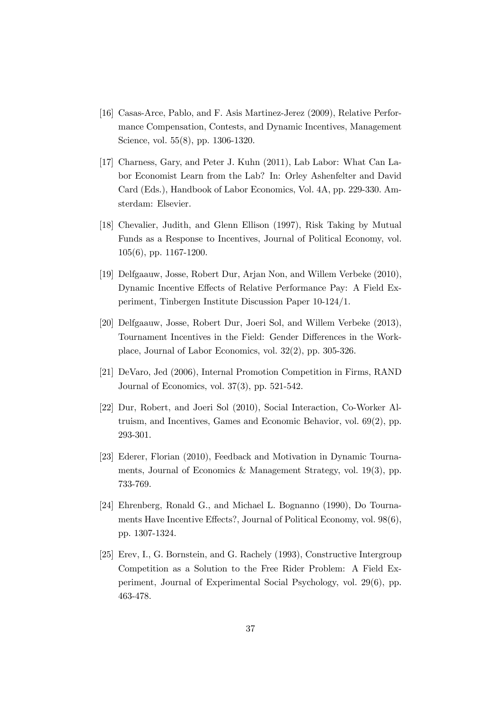- [16] Casas-Arce, Pablo, and F. Asis Martinez-Jerez (2009), Relative Performance Compensation, Contests, and Dynamic Incentives, Management Science, vol. 55(8), pp. 1306-1320.
- [17] Charness, Gary, and Peter J. Kuhn (2011), Lab Labor: What Can Labor Economist Learn from the Lab? In: Orley Ashenfelter and David Card (Eds.), Handbook of Labor Economics, Vol. 4A, pp. 229-330. Amsterdam: Elsevier.
- [18] Chevalier, Judith, and Glenn Ellison (1997), Risk Taking by Mutual Funds as a Response to Incentives, Journal of Political Economy, vol. 105(6), pp. 1167-1200.
- [19] Delfgaauw, Josse, Robert Dur, Arjan Non, and Willem Verbeke (2010), Dynamic Incentive Effects of Relative Performance Pay: A Field Experiment, Tinbergen Institute Discussion Paper 10-124/1.
- [20] Delfgaauw, Josse, Robert Dur, Joeri Sol, and Willem Verbeke (2013), Tournament Incentives in the Field: Gender Differences in the Workplace, Journal of Labor Economics, vol. 32(2), pp. 305-326.
- [21] DeVaro, Jed (2006), Internal Promotion Competition in Firms, RAND Journal of Economics, vol. 37(3), pp. 521-542.
- [22] Dur, Robert, and Joeri Sol (2010), Social Interaction, Co-Worker Altruism, and Incentives, Games and Economic Behavior, vol. 69(2), pp. 293-301.
- [23] Ederer, Florian (2010), Feedback and Motivation in Dynamic Tournaments, Journal of Economics & Management Strategy, vol. 19(3), pp. 733-769.
- [24] Ehrenberg, Ronald G., and Michael L. Bognanno (1990), Do Tournaments Have Incentive Effects?, Journal of Political Economy, vol. 98(6), pp. 1307-1324.
- [25] Erev, I., G. Bornstein, and G. Rachely (1993), Constructive Intergroup Competition as a Solution to the Free Rider Problem: A Field Experiment, Journal of Experimental Social Psychology, vol. 29(6), pp. 463-478.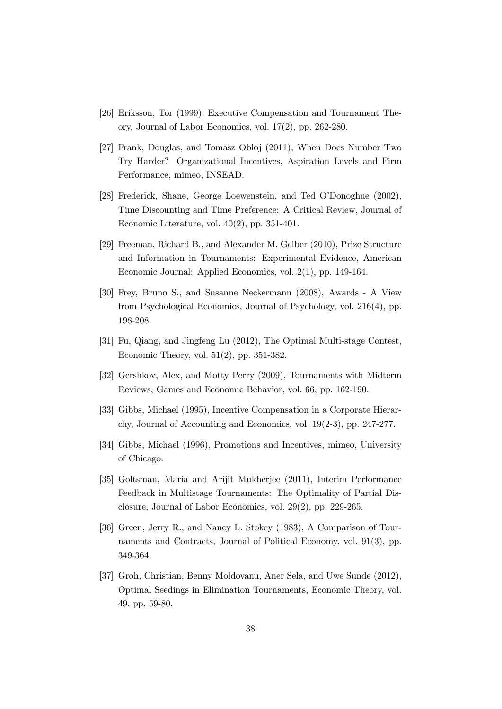- [26] Eriksson, Tor (1999), Executive Compensation and Tournament Theory, Journal of Labor Economics, vol. 17(2), pp. 262-280.
- [27] Frank, Douglas, and Tomasz Obloj (2011), When Does Number Two Try Harder? Organizational Incentives, Aspiration Levels and Firm Performance, mimeo, INSEAD.
- [28] Frederick, Shane, George Loewenstein, and Ted O'Donoghue (2002), Time Discounting and Time Preference: A Critical Review, Journal of Economic Literature, vol. 40(2), pp. 351-401.
- [29] Freeman, Richard B., and Alexander M. Gelber (2010), Prize Structure and Information in Tournaments: Experimental Evidence, American Economic Journal: Applied Economics, vol. 2(1), pp. 149-164.
- [30] Frey, Bruno S., and Susanne Neckermann (2008), Awards A View from Psychological Economics, Journal of Psychology, vol. 216(4), pp. 198-208.
- [31] Fu, Qiang, and Jingfeng Lu (2012), The Optimal Multi-stage Contest, Economic Theory, vol. 51(2), pp. 351-382.
- [32] Gershkov, Alex, and Motty Perry (2009), Tournaments with Midterm Reviews, Games and Economic Behavior, vol. 66, pp. 162-190.
- [33] Gibbs, Michael (1995), Incentive Compensation in a Corporate Hierarchy, Journal of Accounting and Economics, vol. 19(2-3), pp. 247-277.
- [34] Gibbs, Michael (1996), Promotions and Incentives, mimeo, University of Chicago.
- [35] Goltsman, Maria and Arijit Mukherjee (2011), Interim Performance Feedback in Multistage Tournaments: The Optimality of Partial Disclosure, Journal of Labor Economics, vol. 29(2), pp. 229-265.
- [36] Green, Jerry R., and Nancy L. Stokey (1983), A Comparison of Tournaments and Contracts, Journal of Political Economy, vol. 91(3), pp. 349-364.
- [37] Groh, Christian, Benny Moldovanu, Aner Sela, and Uwe Sunde (2012), Optimal Seedings in Elimination Tournaments, Economic Theory, vol. 49, pp. 59-80.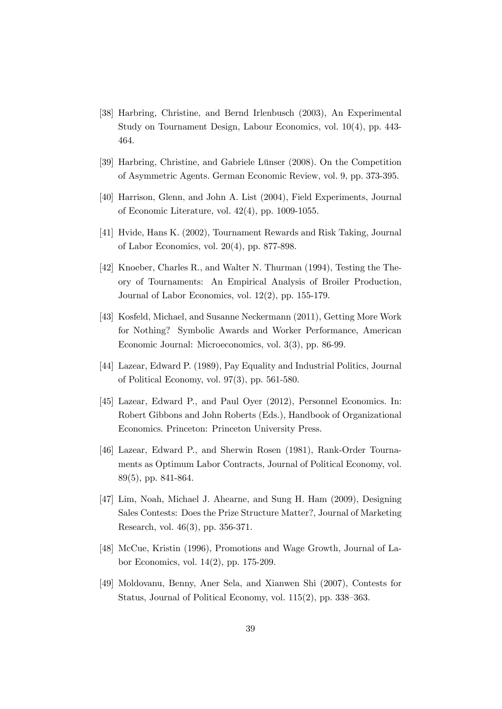- [38] Harbring, Christine, and Bernd Irlenbusch (2003), An Experimental Study on Tournament Design, Labour Economics, vol. 10(4), pp. 443- 464.
- [39] Harbring, Christine, and Gabriele Lünser (2008). On the Competition of Asymmetric Agents. German Economic Review, vol. 9, pp. 373-395.
- [40] Harrison, Glenn, and John A. List (2004), Field Experiments, Journal of Economic Literature, vol. 42(4), pp. 1009-1055.
- [41] Hvide, Hans K. (2002), Tournament Rewards and Risk Taking, Journal of Labor Economics, vol. 20(4), pp. 877-898.
- [42] Knoeber, Charles R., and Walter N. Thurman (1994), Testing the Theory of Tournaments: An Empirical Analysis of Broiler Production, Journal of Labor Economics, vol. 12(2), pp. 155-179.
- [43] Kosfeld, Michael, and Susanne Neckermann (2011), Getting More Work for Nothing? Symbolic Awards and Worker Performance, American Economic Journal: Microeconomics, vol. 3(3), pp. 86-99.
- [44] Lazear, Edward P. (1989), Pay Equality and Industrial Politics, Journal of Political Economy, vol. 97(3), pp. 561-580.
- [45] Lazear, Edward P., and Paul Oyer (2012), Personnel Economics. In: Robert Gibbons and John Roberts (Eds.), Handbook of Organizational Economics. Princeton: Princeton University Press.
- [46] Lazear, Edward P., and Sherwin Rosen (1981), Rank-Order Tournaments as Optimum Labor Contracts, Journal of Political Economy, vol. 89(5), pp. 841-864.
- [47] Lim, Noah, Michael J. Ahearne, and Sung H. Ham (2009), Designing Sales Contests: Does the Prize Structure Matter?, Journal of Marketing Research, vol. 46(3), pp. 356-371.
- [48] McCue, Kristin (1996), Promotions and Wage Growth, Journal of Labor Economics, vol. 14(2), pp. 175-209.
- [49] Moldovanu, Benny, Aner Sela, and Xianwen Shi (2007), Contests for Status, Journal of Political Economy, vol. 115(2), pp. 338—363.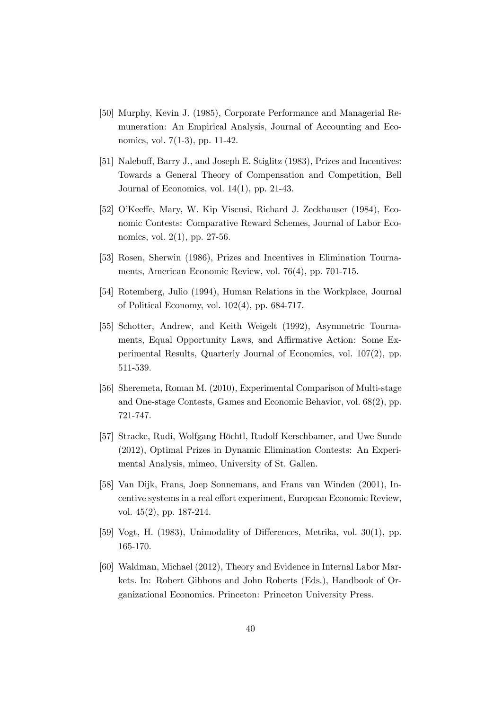- [50] Murphy, Kevin J. (1985), Corporate Performance and Managerial Remuneration: An Empirical Analysis, Journal of Accounting and Economics, vol. 7(1-3), pp. 11-42.
- [51] Nalebuff, Barry J., and Joseph E. Stiglitz (1983), Prizes and Incentives: Towards a General Theory of Compensation and Competition, Bell Journal of Economics, vol. 14(1), pp. 21-43.
- [52] O'Keeffe, Mary, W. Kip Viscusi, Richard J. Zeckhauser (1984), Economic Contests: Comparative Reward Schemes, Journal of Labor Economics, vol. 2(1), pp. 27-56.
- [53] Rosen, Sherwin (1986), Prizes and Incentives in Elimination Tournaments, American Economic Review, vol. 76(4), pp. 701-715.
- [54] Rotemberg, Julio (1994), Human Relations in the Workplace, Journal of Political Economy, vol. 102(4), pp. 684-717.
- [55] Schotter, Andrew, and Keith Weigelt (1992), Asymmetric Tournaments, Equal Opportunity Laws, and Affirmative Action: Some Experimental Results, Quarterly Journal of Economics, vol. 107(2), pp. 511-539.
- [56] Sheremeta, Roman M. (2010), Experimental Comparison of Multi-stage and One-stage Contests, Games and Economic Behavior, vol. 68(2), pp. 721-747.
- [57] Stracke, Rudi, Wolfgang Höchtl, Rudolf Kerschbamer, and Uwe Sunde (2012), Optimal Prizes in Dynamic Elimination Contests: An Experimental Analysis, mimeo, University of St. Gallen.
- [58] Van Dijk, Frans, Joep Sonnemans, and Frans van Winden (2001), Incentive systems in a real effort experiment, European Economic Review, vol. 45(2), pp. 187-214.
- [59] Vogt, H. (1983), Unimodality of Differences, Metrika, vol. 30(1), pp. 165-170.
- [60] Waldman, Michael (2012), Theory and Evidence in Internal Labor Markets. In: Robert Gibbons and John Roberts (Eds.), Handbook of Organizational Economics. Princeton: Princeton University Press.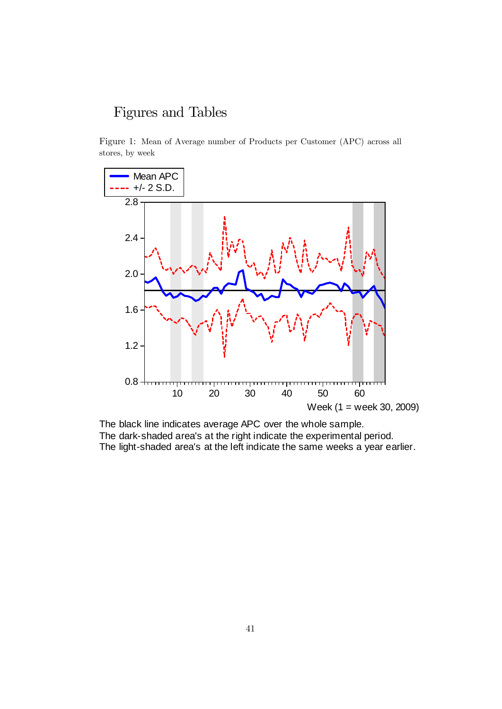# Figures and Tables

Figure 1: Mean of Average number of Products per Customer (APC) across all stores, by week



The black line indicates average APC over the whole sample. The dark-shaded area's at the right indicate the experimental period. The light-shaded area's at the left indicate the same weeks a year earlier.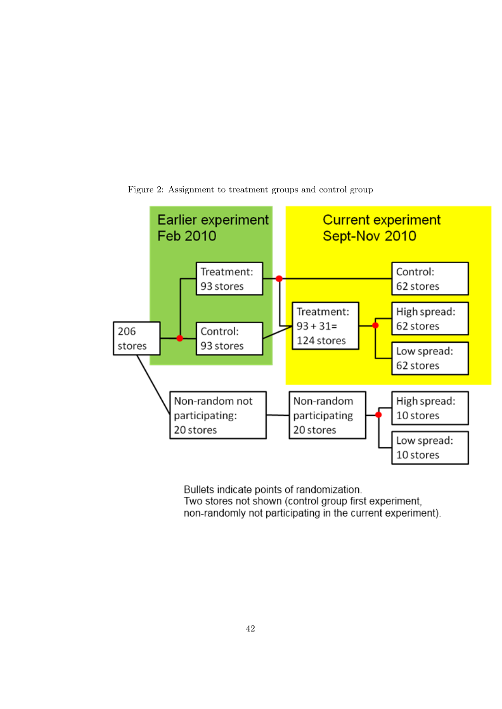

Figure 2: Assignment to treatment groups and control group

Bullets indicate points of randomization. Two stores not shown (control group first experiment, non-randomly not participating in the current experiment).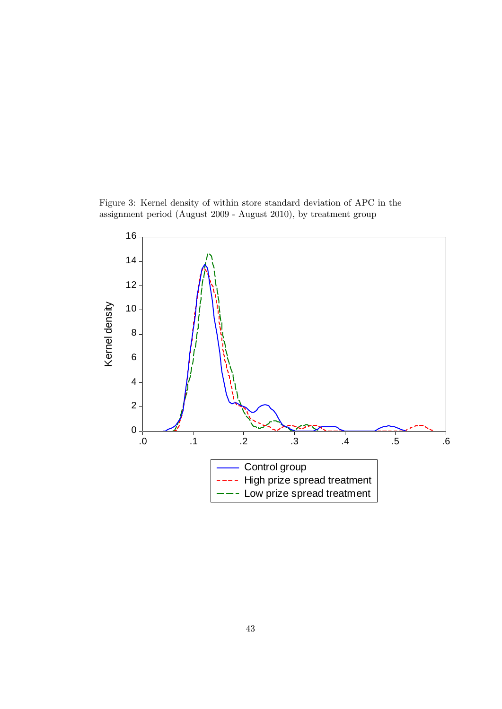Figure 3: Kernel density of within store standard deviation of APC in the assignment period (August 2009 - August 2010), by treatment group

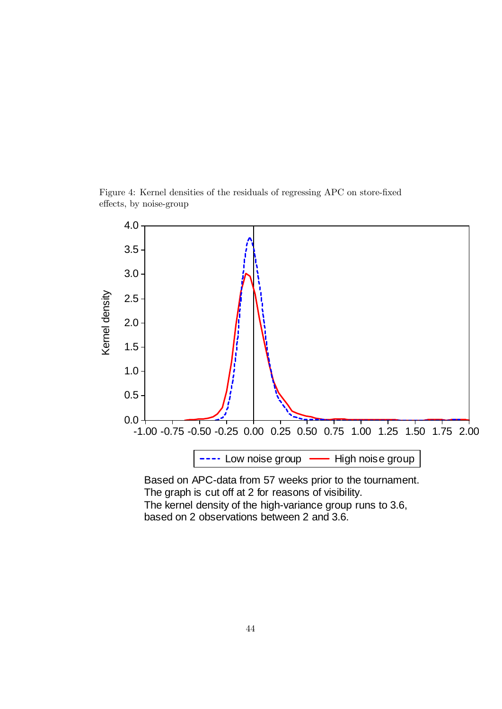



The kernel density of the high-variance group runs to 3.6, based on 2 observations between 2 and 3.6.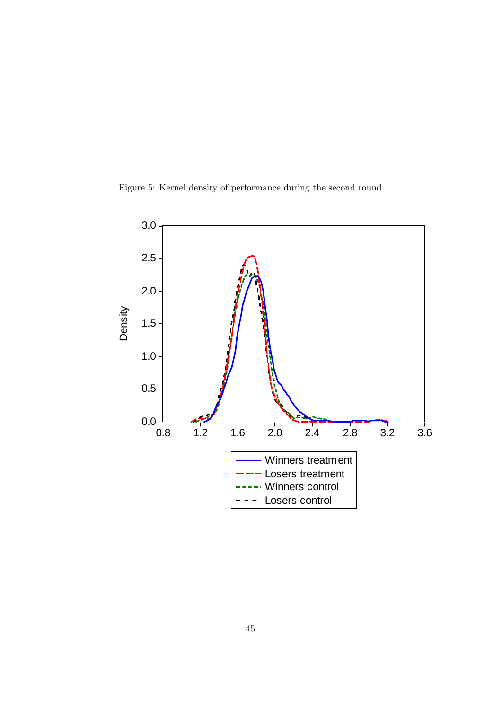Figure 5: Kernel density of performance during the second round

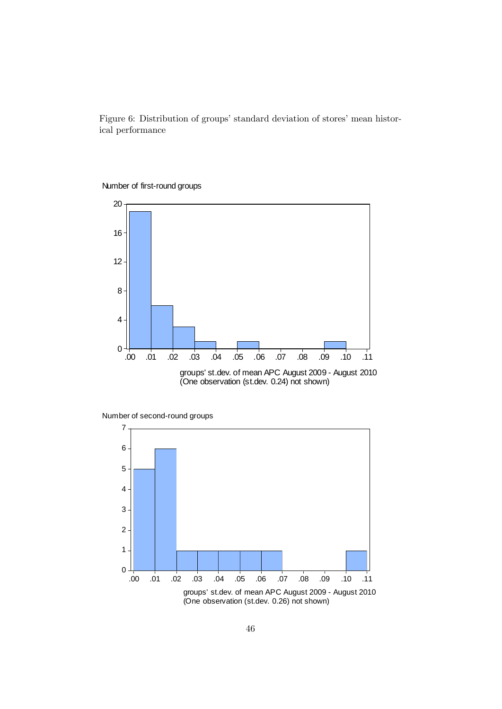Figure 6: Distribution of groups' standard deviation of stores' mean historical performance





Number of second-round groups

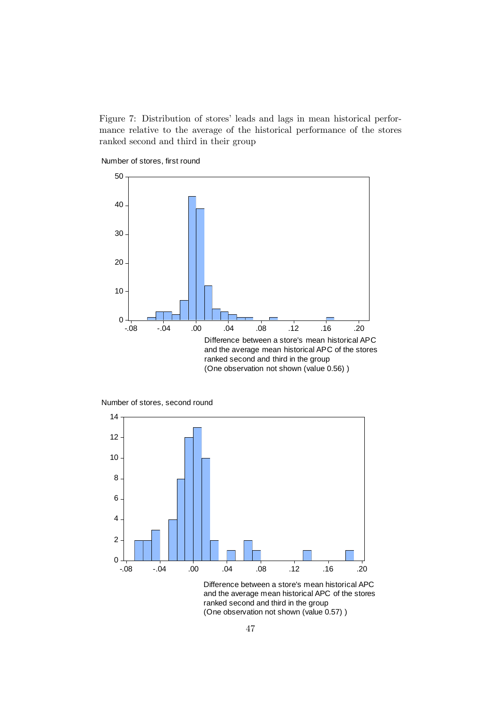Figure 7: Distribution of stores' leads and lags in mean historical performance relative to the average of the historical performance of the stores ranked second and third in their group

Number of stores, first round



Number of stores, second round



and the average mean historical APC of the stores ranked second and third in the group (One observation not shown (value 0.57) )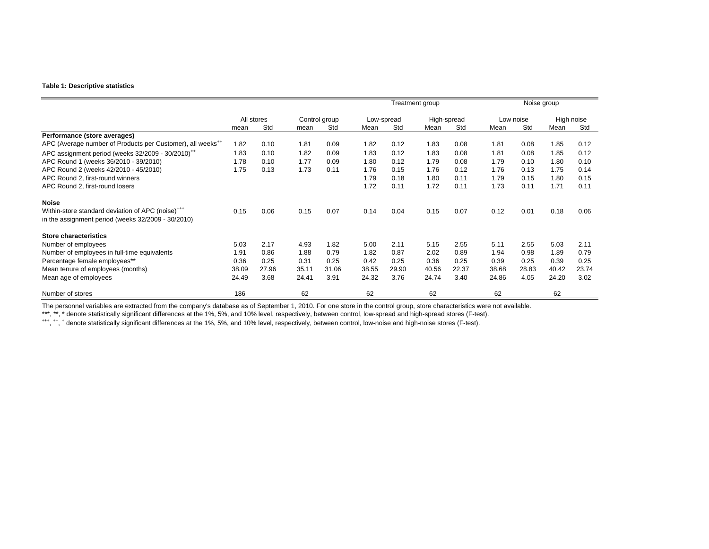#### **Table 1: Descriptive statistics**

|                                                                        |       |            |       |               |       |            | Treatment group |             |       |           | Noise group |       |
|------------------------------------------------------------------------|-------|------------|-------|---------------|-------|------------|-----------------|-------------|-------|-----------|-------------|-------|
|                                                                        |       | All stores |       | Control group |       | Low-spread |                 | High-spread |       | Low noise | High noise  |       |
|                                                                        | mean  | Std        | mean  | Std           | Mean  | Std        | Mean            | Std         | Mean  | Std       | Mean        | Std   |
| Performance (store averages)                                           |       |            |       |               |       |            |                 |             |       |           |             |       |
| APC (Average number of Products per Customer), all weeks <sup>++</sup> | 1.82  | 0.10       | 1.81  | 0.09          | 1.82  | 0.12       | 1.83            | 0.08        | 1.81  | 0.08      | 1.85        | 0.12  |
| APC assignment period (weeks 32/2009 - 30/2010) <sup>++</sup>          | 1.83  | 0.10       | 1.82  | 0.09          | 1.83  | 0.12       | 1.83            | 0.08        | 1.81  | 0.08      | 1.85        | 0.12  |
| APC Round 1 (weeks 36/2010 - 39/2010)                                  | 1.78  | 0.10       | 1.77  | 0.09          | 1.80  | 0.12       | 1.79            | 0.08        | 1.79  | 0.10      | 1.80        | 0.10  |
| APC Round 2 (weeks 42/2010 - 45/2010)                                  | 1.75  | 0.13       | 1.73  | 0.11          | 1.76  | 0.15       | 1.76            | 0.12        | 1.76  | 0.13      | 1.75        | 0.14  |
| APC Round 2. first-round winners                                       |       |            |       |               | 1.79  | 0.18       | 1.80            | 0.11        | 1.79  | 0.15      | 1.80        | 0.15  |
| APC Round 2, first-round losers                                        |       |            |       |               | 1.72  | 0.11       | 1.72            | 0.11        | 1.73  | 0.11      | 1.71        | 0.11  |
| <b>Noise</b>                                                           |       |            |       |               |       |            |                 |             |       |           |             |       |
| Within-store standard deviation of APC (noise) <sup>+++</sup>          | 0.15  | 0.06       | 0.15  | 0.07          | 0.14  | 0.04       | 0.15            | 0.07        | 0.12  | 0.01      | 0.18        | 0.06  |
| in the assignment period (weeks 32/2009 - 30/2010)                     |       |            |       |               |       |            |                 |             |       |           |             |       |
| <b>Store characteristics</b>                                           |       |            |       |               |       |            |                 |             |       |           |             |       |
| Number of employees                                                    | 5.03  | 2.17       | 4.93  | 1.82          | 5.00  | 2.11       | 5.15            | 2.55        | 5.11  | 2.55      | 5.03        | 2.11  |
| Number of employees in full-time equivalents                           | 1.91  | 0.86       | 1.88  | 0.79          | 1.82  | 0.87       | 2.02            | 0.89        | 1.94  | 0.98      | 1.89        | 0.79  |
| Percentage female employees**                                          | 0.36  | 0.25       | 0.31  | 0.25          | 0.42  | 0.25       | 0.36            | 0.25        | 0.39  | 0.25      | 0.39        | 0.25  |
| Mean tenure of employees (months)                                      | 38.09 | 27.96      | 35.11 | 31.06         | 38.55 | 29.90      | 40.56           | 22.37       | 38.68 | 28.83     | 40.42       | 23.74 |
| Mean age of employees                                                  | 24.49 | 3.68       | 24.41 | 3.91          | 24.32 | 3.76       | 24.74           | 3.40        | 24.86 | 4.05      | 24.20       | 3.02  |
| Number of stores                                                       | 186   |            | 62    |               | 62    |            | 62              |             | 62    |           | 62          |       |

The personnel variables are extracted from the company's database as of September 1, 2010. For one store in the control group, store characteristics were not available.

\*\*\*, \*\*, \* denote statistically significant differences at the 1%, 5%, and 10% level, respectively, between control, low-spread and high-spread stores (F-test).<br>\*\*\*, \*\*, \* denote statistically significant differences at th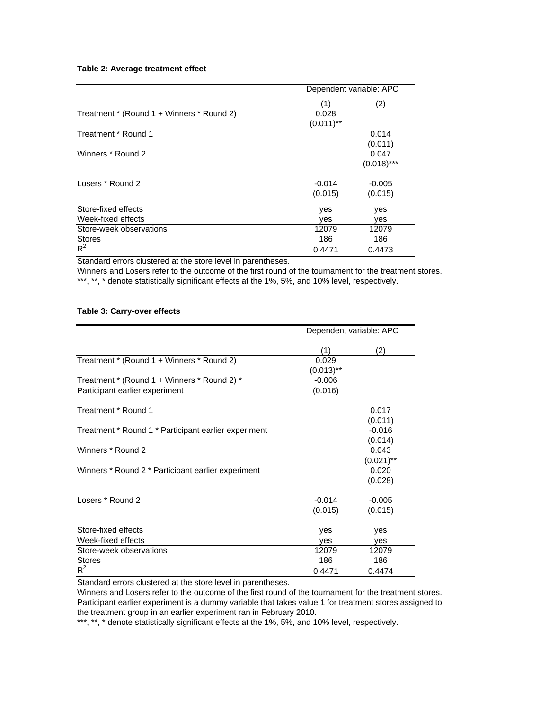#### **Table 2: Average treatment effect**

|                                           | Dependent variable: APC |               |
|-------------------------------------------|-------------------------|---------------|
|                                           | (1)                     | (2)           |
| Treatment * (Round 1 + Winners * Round 2) | 0.028                   |               |
|                                           | $(0.011)$ **            |               |
| Treatment * Round 1                       |                         | 0.014         |
|                                           |                         | (0.011)       |
| Winners * Round 2                         |                         | 0.047         |
|                                           |                         | $(0.018)$ *** |
| Losers * Round 2                          | $-0.014$                | $-0.005$      |
|                                           | (0.015)                 | (0.015)       |
| Store-fixed effects                       | yes                     | yes           |
| Week-fixed effects                        | ves                     | ves           |
| Store-week observations                   | 12079                   | 12079         |
| <b>Stores</b>                             | 186                     | 186           |
| $R^2$                                     | 0.4471                  | 0.4473        |

Standard errors clustered at the store level in parentheses.

Winners and Losers refer to the outcome of the first round of the tournament for the treatment stores. \*\*\*, \*\*, \* denote statistically significant effects at the 1%, 5%, and 10% level, respectively.

#### **Table 3: Carry-over effects**

|                                                      | Dependent variable: APC  |                                  |
|------------------------------------------------------|--------------------------|----------------------------------|
|                                                      | (1)                      | (2)                              |
| Treatment * (Round 1 + Winners * Round 2)            | 0.029                    |                                  |
| Treatment * (Round 1 + Winners * Round 2) *          | $(0.013)$ **<br>$-0.006$ |                                  |
| Participant earlier experiment                       | (0.016)                  |                                  |
| Treatment * Round 1                                  |                          | 0.017                            |
| Treatment * Round 1 * Participant earlier experiment |                          | (0.011)<br>$-0.016$              |
|                                                      |                          | (0.014)                          |
| Winners * Round 2                                    |                          | 0.043                            |
| Winners * Round 2 * Participant earlier experiment   |                          | $(0.021)$ **<br>0.020<br>(0.028) |
| Losers * Round 2                                     | $-0.014$                 | $-0.005$                         |
|                                                      | (0.015)                  | (0.015)                          |
| Store-fixed effects                                  | yes                      | yes                              |
| Week-fixed effects                                   | ves                      | yes                              |
| Store-week observations                              | 12079                    | 12079                            |
| <b>Stores</b>                                        | 186                      | 186                              |
| $R^2$                                                | 0.4471                   | 0.4474                           |

Standard errors clustered at the store level in parentheses.

Winners and Losers refer to the outcome of the first round of the tournament for the treatment stores. Participant earlier experiment is a dummy variable that takes value 1 for treatment stores assigned to the treatment group in an earlier experiment ran in February 2010.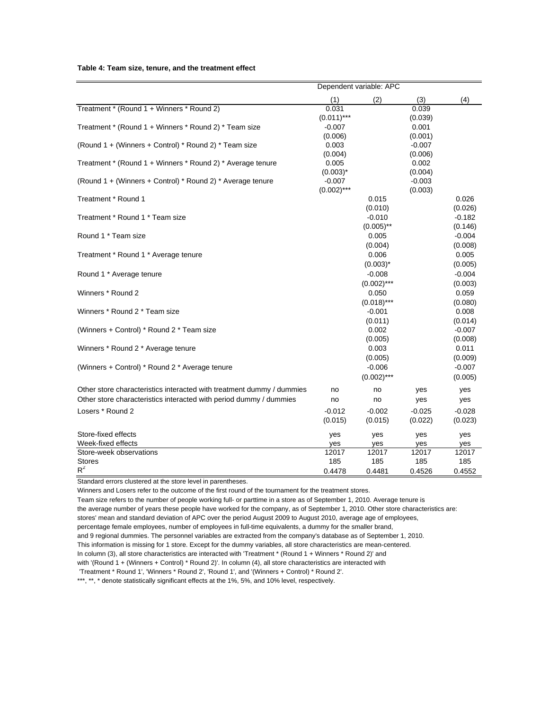#### **Table 4: Team size, tenure, and the treatment effect**

|                                                                       |                  | Dependent variable: APC |                     |                     |
|-----------------------------------------------------------------------|------------------|-------------------------|---------------------|---------------------|
|                                                                       | (1)              | (2)                     | (3)                 | (4)                 |
| Treatment * (Round 1 + Winners * Round 2)                             | 0.031            |                         | 0.039               |                     |
|                                                                       | $(0.011)***$     |                         | (0.039)             |                     |
| Treatment * (Round 1 + Winners * Round 2) * Team size                 | $-0.007$         |                         | 0.001               |                     |
|                                                                       | (0.006)          |                         | (0.001)             |                     |
| (Round 1 + (Winners + Control) * Round 2) * Team size                 | 0.003<br>(0.004) |                         | $-0.007$<br>(0.006) |                     |
| Treatment * (Round 1 + Winners * Round 2) * Average tenure            | 0.005            |                         | 0.002               |                     |
|                                                                       | $(0.003)^*$      |                         | (0.004)             |                     |
| (Round 1 + (Winners + Control) * Round 2) * Average tenure            | $-0.007$         |                         | $-0.003$            |                     |
|                                                                       | $(0.002)$ ***    |                         | (0.003)             |                     |
| Treatment * Round 1                                                   |                  | 0.015                   |                     | 0.026               |
|                                                                       |                  | (0.010)                 |                     | (0.026)             |
| Treatment * Round 1 * Team size                                       |                  | $-0.010$                |                     | $-0.182$            |
|                                                                       |                  | $(0.005)$ **            |                     | (0.146)             |
| Round 1 * Team size                                                   |                  | 0.005                   |                     | $-0.004$            |
|                                                                       |                  | (0.004)                 |                     | (0.008)             |
| Treatment * Round 1 * Average tenure                                  |                  | 0.006                   |                     | 0.005               |
|                                                                       |                  | $(0.003)^*$<br>$-0.008$ |                     | (0.005)<br>$-0.004$ |
| Round 1 * Average tenure                                              |                  | $(0.002)$ ***           |                     | (0.003)             |
| Winners * Round 2                                                     |                  | 0.050                   |                     | 0.059               |
|                                                                       |                  | $(0.018)$ ***           |                     | (0.080)             |
| Winners * Round 2 * Team size                                         |                  | $-0.001$                |                     | 0.008               |
|                                                                       |                  | (0.011)                 |                     | (0.014)             |
| (Winners + Control) * Round 2 * Team size                             |                  | 0.002                   |                     | $-0.007$            |
|                                                                       |                  | (0.005)                 |                     | (0.008)             |
| Winners * Round 2 * Average tenure                                    |                  | 0.003                   |                     | 0.011               |
|                                                                       |                  | (0.005)                 |                     | (0.009)             |
| (Winners + Control) * Round 2 * Average tenure                        |                  | $-0.006$                |                     | $-0.007$            |
|                                                                       |                  | $(0.002)$ ***           |                     | (0.005)             |
| Other store characteristics interacted with treatment dummy / dummies | no               | no                      | yes                 | yes                 |
| Other store characteristics interacted with period dummy / dummies    | no               | no                      | yes                 | yes                 |
| Losers * Round 2                                                      | $-0.012$         | $-0.002$                | $-0.025$            | $-0.028$            |
|                                                                       | (0.015)          | (0.015)                 | (0.022)             | (0.023)             |
| Store-fixed effects                                                   | yes              | yes                     | yes                 | yes                 |
| Week-fixed effects                                                    | yes              | yes                     | yes                 | yes                 |
| Store-week observations                                               | 12017            | 12017                   | 12017               | 12017               |
| <b>Stores</b>                                                         | 185              | 185                     | 185                 | 185                 |
| $R^2$                                                                 | 0.4478           | 0.4481                  | 0.4526              | 0.4552              |

Standard errors clustered at the store level in parentheses.

Winners and Losers refer to the outcome of the first round of the tournament for the treatment stores.

Team size refers to the number of people working full- or parttime in a store as of September 1, 2010. Average tenure is the average number of years these people have worked for the company, as of September 1, 2010. Other store characteristics are: stores' mean and standard deviation of APC over the period August 2009 to August 2010, average age of employees, percentage female employees, number of employees in full-time equivalents, a dummy for the smaller brand, and 9 regional dummies. The personnel variables are extracted from the company's database as of September 1, 2010. This information is missing for 1 store. Except for the dummy variables, all store characteristics are mean-centered. In column (3), all store characteristics are interacted with 'Treatment \* (Round 1 + Winners \* Round 2)' and with '(Round 1 + (Winners + Control) \* Round 2)'. In column (4), all store characteristics are interacted with 'Treatment \* Round 1', 'Winners \* Round 2', 'Round 1', and '(Winners + Control) \* Round 2'. \*\*\*, \*\*, \* denote statistically significant effects at the 1%, 5%, and 10% level, respectively.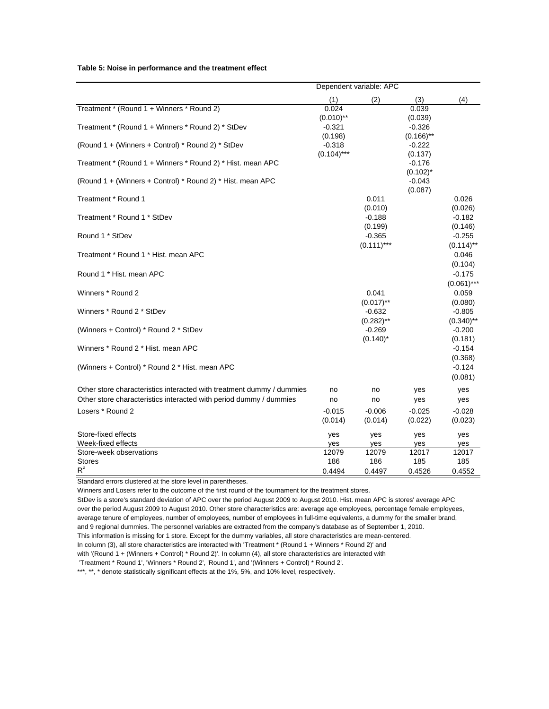#### **Table 5: Noise in performance and the treatment effect**

|                                                                       |                     | Dependent variable: APC |                          |                     |
|-----------------------------------------------------------------------|---------------------|-------------------------|--------------------------|---------------------|
|                                                                       | (1)                 | (2)                     | (3)                      | (4)                 |
| Treatment * (Round 1 + Winners * Round 2)                             | 0.024               |                         | 0.039                    |                     |
|                                                                       | $(0.010)$ **        |                         | (0.039)                  |                     |
| Treatment * (Round 1 + Winners * Round 2) * StDev                     | $-0.321$<br>(0.198) |                         | $-0.326$<br>$(0.166)$ ** |                     |
| (Round 1 + (Winners + Control) * Round 2) * StDev                     | $-0.318$            |                         | $-0.222$                 |                     |
|                                                                       | $(0.104)$ ***       |                         | (0.137)                  |                     |
| Treatment * (Round 1 + Winners * Round 2) * Hist. mean APC            |                     |                         | $-0.176$                 |                     |
|                                                                       |                     |                         | $(0.102)^*$              |                     |
| (Round 1 + (Winners + Control) * Round 2) * Hist. mean APC            |                     |                         | $-0.043$<br>(0.087)      |                     |
| Treatment * Round 1                                                   |                     | 0.011                   |                          | 0.026               |
|                                                                       |                     | (0.010)                 |                          | (0.026)             |
| Treatment * Round 1 * StDev                                           |                     | $-0.188$                |                          | $-0.182$            |
|                                                                       |                     | (0.199)                 |                          | (0.146)             |
| Round 1 * StDev                                                       |                     | $-0.365$                |                          | $-0.255$            |
|                                                                       |                     | $(0.111)***$            |                          | $(0.114)$ **        |
| Treatment * Round 1 * Hist. mean APC                                  |                     |                         |                          | 0.046<br>(0.104)    |
| Round 1 * Hist. mean APC                                              |                     |                         |                          | $-0.175$            |
|                                                                       |                     |                         |                          | $(0.061)$ ***       |
| Winners * Round 2                                                     |                     | 0.041                   |                          | 0.059               |
|                                                                       |                     | $(0.017)$ **            |                          | (0.080)             |
| Winners * Round 2 * StDev                                             |                     | $-0.632$                |                          | $-0.805$            |
|                                                                       |                     | $(0.282)$ **            |                          | $(0.340)$ **        |
| (Winners + Control) * Round 2 * StDev                                 |                     | $-0.269$<br>$(0.140)^*$ |                          | $-0.200$<br>(0.181) |
| Winners * Round 2 * Hist. mean APC                                    |                     |                         |                          | $-0.154$            |
|                                                                       |                     |                         |                          | (0.368)             |
| (Winners + Control) * Round 2 * Hist. mean APC                        |                     |                         |                          | $-0.124$            |
|                                                                       |                     |                         |                          | (0.081)             |
| Other store characteristics interacted with treatment dummy / dummies | no                  | no                      | yes                      | yes                 |
| Other store characteristics interacted with period dummy / dummies    | no                  | no                      | yes                      | yes                 |
| Losers * Round 2                                                      | $-0.015$            | $-0.006$                | $-0.025$                 | $-0.028$            |
|                                                                       | (0.014)             | (0.014)                 | (0.022)                  | (0.023)             |
| Store-fixed effects                                                   | yes                 | yes                     | yes                      | yes                 |
| Week-fixed effects                                                    | yes                 | yes                     | yes                      | yes                 |
| Store-week observations                                               | 12079               | 12079                   | 12017                    | 12017               |
| <b>Stores</b>                                                         | 186                 | 186                     | 185                      | 185                 |
| $R^2$                                                                 | 0.4494              | 0.4497                  | 0.4526                   | 0.4552              |

Standard errors clustered at the store level in parentheses.

Winners and Losers refer to the outcome of the first round of the tournament for the treatment stores.

StDev is a store's standard deviation of APC over the period August 2009 to August 2010. Hist. mean APC is stores' average APC over the period August 2009 to August 2010. Other store characteristics are: average age employees, percentage female employees, average tenure of employees, number of employees, number of employees in full-time equivalents, a dummy for the smaller brand, and 9 regional dummies. The personnel variables are extracted from the company's database as of September 1, 2010. This information is missing for 1 store. Except for the dummy variables, all store characteristics are mean-centered. In column (3), all store characteristics are interacted with 'Treatment \* (Round 1 + Winners \* Round 2)' and with '(Round 1 + (Winners + Control) \* Round 2)'. In column (4), all store characteristics are interacted with 'Treatment \* Round 1', 'Winners \* Round 2', 'Round 1', and '(Winners + Control) \* Round 2'.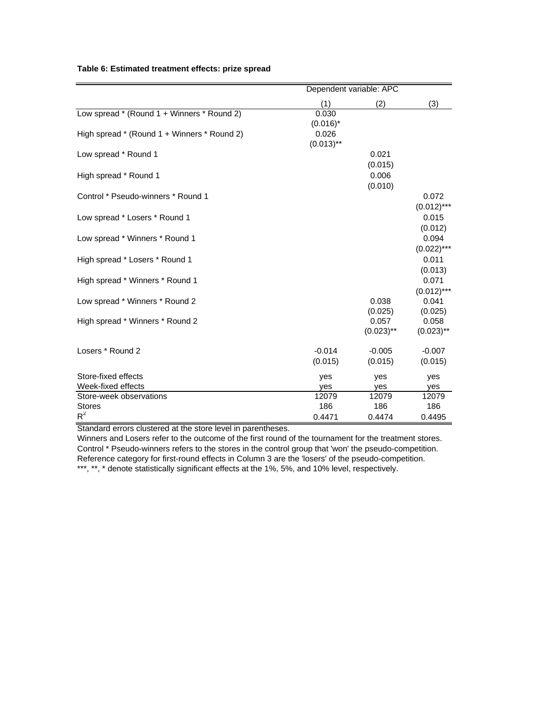|                                             | Dependent variable: APC |                                  |                                  |  |
|---------------------------------------------|-------------------------|----------------------------------|----------------------------------|--|
|                                             | (1)                     | (2)                              | (3)                              |  |
| Low spread * (Round 1 + Winners * Round 2)  | 0.030<br>$(0.016)^*$    |                                  |                                  |  |
| High spread * (Round 1 + Winners * Round 2) | 0.026<br>$(0.013)$ **   |                                  |                                  |  |
| Low spread * Round 1                        |                         | 0.021<br>(0.015)                 |                                  |  |
| High spread * Round 1                       |                         | 0.006<br>(0.010)                 |                                  |  |
| Control * Pseudo-winners * Round 1          |                         |                                  | 0.072<br>$(0.012)$ ***           |  |
| Low spread * Losers * Round 1               |                         |                                  | 0.015<br>(0.012)                 |  |
| Low spread * Winners * Round 1              |                         |                                  | 0.094<br>$(0.022)$ ***           |  |
| High spread * Losers * Round 1              |                         |                                  | 0.011<br>(0.013)                 |  |
| High spread * Winners * Round 1             |                         |                                  | 0.071                            |  |
| Low spread * Winners * Round 2              |                         | 0.038                            | $(0.012)$ ***<br>0.041           |  |
| High spread * Winners * Round 2             |                         | (0.025)<br>0.057<br>$(0.023)$ ** | (0.025)<br>0.058<br>$(0.023)$ ** |  |
| Losers * Round 2                            | $-0.014$<br>(0.015)     | $-0.005$<br>(0.015)              | $-0.007$<br>(0.015)              |  |
| Store-fixed effects                         | yes                     | yes                              | yes                              |  |
| Week-fixed effects                          | yes                     | yes                              | yes                              |  |
| Store-week observations                     | 12079                   | 12079                            | 12079                            |  |
| <b>Stores</b>                               | 186                     | 186                              | 186                              |  |
| $R^2$                                       | 0.4471                  | 0.4474                           | 0.4495                           |  |

## **Table 6: Estimated treatment effects: prize spread**

Standard errors clustered at the store level in parentheses.

Winners and Losers refer to the outcome of the first round of the tournament for the treatment stores. Control \* Pseudo-winners refers to the stores in the control group that 'won' the pseudo-competition. Reference category for first-round effects in Column 3 are the 'losers' of the pseudo-competition. \*\*\*, \*\*, \* denote statistically significant effects at the 1%, 5%, and 10% level, respectively.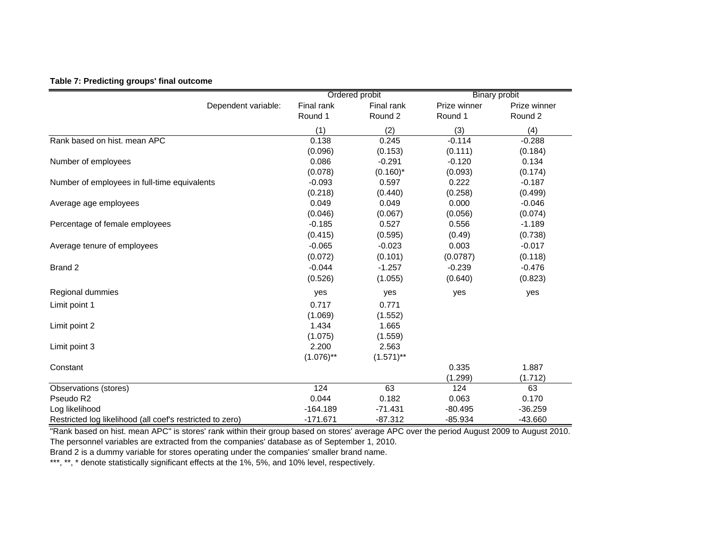|  | Table 7: Predicting groups' final outcome |  |
|--|-------------------------------------------|--|
|  |                                           |  |

|                                                           |              | Ordered probit     |              | <b>Binary probit</b> |
|-----------------------------------------------------------|--------------|--------------------|--------------|----------------------|
| Dependent variable:                                       | Final rank   | Final rank         | Prize winner | Prize winner         |
|                                                           | Round 1      | Round <sub>2</sub> | Round 1      | Round 2              |
|                                                           | (1)          | (2)                | (3)          | (4)                  |
| Rank based on hist. mean APC                              | 0.138        | 0.245              | $-0.114$     | $-0.288$             |
|                                                           | (0.096)      | (0.153)            | (0.111)      | (0.184)              |
| Number of employees                                       | 0.086        | $-0.291$           | $-0.120$     | 0.134                |
|                                                           | (0.078)      | $(0.160)^*$        | (0.093)      | (0.174)              |
| Number of employees in full-time equivalents              | $-0.093$     | 0.597              | 0.222        | $-0.187$             |
|                                                           | (0.218)      | (0.440)            | (0.258)      | (0.499)              |
| Average age employees                                     | 0.049        | 0.049              | 0.000        | $-0.046$             |
|                                                           | (0.046)      | (0.067)            | (0.056)      | (0.074)              |
| Percentage of female employees                            | $-0.185$     | 0.527              | 0.556        | $-1.189$             |
|                                                           | (0.415)      | (0.595)            | (0.49)       | (0.738)              |
| Average tenure of employees                               | $-0.065$     | $-0.023$           | 0.003        | $-0.017$             |
|                                                           | (0.072)      | (0.101)            | (0.0787)     | (0.118)              |
| Brand 2                                                   | $-0.044$     | $-1.257$           | $-0.239$     | $-0.476$             |
|                                                           | (0.526)      | (1.055)            | (0.640)      | (0.823)              |
| Regional dummies                                          | yes          | yes                | yes          | yes                  |
| Limit point 1                                             | 0.717        | 0.771              |              |                      |
|                                                           | (1.069)      | (1.552)            |              |                      |
| Limit point 2                                             | 1.434        | 1.665              |              |                      |
|                                                           | (1.075)      | (1.559)            |              |                      |
| Limit point 3                                             | 2.200        | 2.563              |              |                      |
|                                                           | $(1.076)$ ** | $(1.571)$ **       |              |                      |
| Constant                                                  |              |                    | 0.335        | 1.887                |
|                                                           |              |                    | (1.299)      | (1.712)              |
| Observations (stores)                                     | 124          | 63                 | 124          | 63                   |
| Pseudo R2                                                 | 0.044        | 0.182              | 0.063        | 0.170                |
| Log likelihood                                            | $-164.189$   | $-71.431$          | $-80.495$    | $-36.259$            |
| Restricted log likelihood (all coef's restricted to zero) | $-171.671$   | $-87.312$          | $-85.934$    | $-43.660$            |

"Rank based on hist. mean APC" is stores' rank within their group based on stores' average APC over the period August 2009 to August 2010. The personnel variables are extracted from the companies' database as of September 1, 2010.

Brand 2 is a dummy variable for stores operating under the companies' smaller brand name.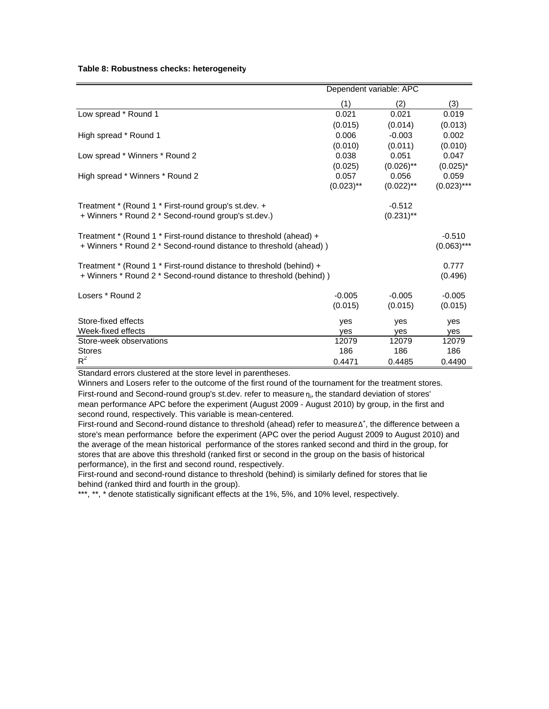|  | Table 8: Robustness checks: heterogeneity |  |  |  |
|--|-------------------------------------------|--|--|--|
|--|-------------------------------------------|--|--|--|

|                                                                     |              | Dependent variable: APC |               |
|---------------------------------------------------------------------|--------------|-------------------------|---------------|
|                                                                     | (1)          | (2)                     | (3)           |
| Low spread * Round 1                                                | 0.021        | 0.021                   | 0.019         |
|                                                                     | (0.015)      | (0.014)                 | (0.013)       |
| High spread * Round 1                                               | 0.006        | $-0.003$                | 0.002         |
|                                                                     | (0.010)      | (0.011)                 | (0.010)       |
| Low spread * Winners * Round 2                                      | 0.038        | 0.051                   | 0.047         |
|                                                                     | (0.025)      | $(0.026)$ **            | $(0.025)^*$   |
| High spread * Winners * Round 2                                     | 0.057        | 0.056                   | 0.059         |
|                                                                     | $(0.023)$ ** | $(0.022)$ **            | $(0.023)$ *** |
| Treatment * (Round 1 * First-round group's st.dev. +                |              | $-0.512$                |               |
| + Winners * Round 2 * Second-round group's st.dev.)                 |              | $(0.231)$ **            |               |
| Treatment * (Round 1 * First-round distance to threshold (ahead) +  |              |                         | $-0.510$      |
| + Winners * Round 2 * Second-round distance to threshold (ahead))   |              |                         | $(0.063)$ *** |
| Treatment * (Round 1 * First-round distance to threshold (behind) + |              |                         | 0.777         |
| + Winners * Round 2 * Second-round distance to threshold (behind))  |              |                         | (0.496)       |
| Losers * Round 2                                                    | $-0.005$     | $-0.005$                | $-0.005$      |
|                                                                     | (0.015)      | (0.015)                 | (0.015)       |
| Store-fixed effects                                                 | yes          | yes                     | yes           |
| Week-fixed effects                                                  | yes          | yes                     | yes           |
| Store-week observations                                             | 12079        | 12079                   | 12079         |
| <b>Stores</b>                                                       | 186          | 186                     | 186           |
| $R^2$                                                               | 0.4471       | 0.4485                  | 0.4490        |

Standard errors clustered at the store level in parentheses.

Winners and Losers refer to the outcome of the first round of the tournament for the treatment stores. First-round and Second-round group's st.dev. refer to measure  $n_{i}$ , the standard deviation of stores' mean performance APC before the experiment (August 2009 - August 2010) by group, in the first and second round, respectively. This variable is mean-centered.

First-round and Second-round distance to threshold (ahead) refer to measure Δ<sup>+</sup>, the difference between a store's mean performance before the experiment (APC over the period August 2009 to August 2010) and the average of the mean historical performance of the stores ranked second and third in the group, for stores that are above this threshold (ranked first or second in the group on the basis of historical performance), in the first and second round, respectively.

First-round and second-round distance to threshold (behind) is similarly defined for stores that lie behind (ranked third and fourth in the group).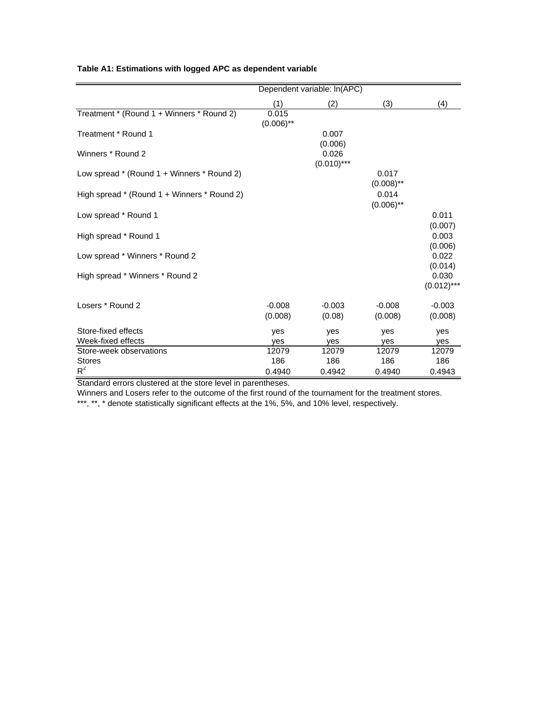|                                             |                     | Dependent variable: In(APC) |                       |                        |
|---------------------------------------------|---------------------|-----------------------------|-----------------------|------------------------|
|                                             | (1)                 | (2)                         | (3)                   | (4)                    |
| Treatment * (Round 1 + Winners * Round 2)   | 0.015               |                             |                       |                        |
| Treatment * Round 1                         | $(0.006)$ **        | 0.007<br>(0.006)            |                       |                        |
| Winners * Round 2                           |                     | 0.026<br>$(0.010)$ ***      |                       |                        |
| Low spread * (Round 1 + Winners * Round 2)  |                     |                             | 0.017<br>$(0.008)$ ** |                        |
| High spread * (Round 1 + Winners * Round 2) |                     |                             | 0.014<br>$(0.006)$ ** |                        |
| Low spread * Round 1                        |                     |                             |                       | 0.011<br>(0.007)       |
| High spread * Round 1                       |                     |                             |                       | 0.003<br>(0.006)       |
| Low spread * Winners * Round 2              |                     |                             |                       | 0.022<br>(0.014)       |
| High spread * Winners * Round 2             |                     |                             |                       | 0.030<br>$(0.012)$ *** |
| Losers * Round 2                            | $-0.008$<br>(0.008) | $-0.003$<br>(0.08)          | $-0.008$<br>(0.008)   | $-0.003$<br>(0.008)    |
| Store-fixed effects                         | yes                 | yes                         | yes                   | yes                    |
| Week-fixed effects                          | ves                 | yes                         | ves                   | yes                    |
| Store-week observations                     | 12079               | 12079                       | 12079                 | 12079                  |
| <b>Stores</b>                               | 186                 | 186                         | 186                   | 186                    |
| $R^2$                                       | 0.4940              | 0.4942                      | 0.4940                | 0.4943                 |

## **Table A1: Estimations with logged APC as dependent variable**

Standard errors clustered at the store level in parentheses.

Winners and Losers refer to the outcome of the first round of the tournament for the treatment stores.